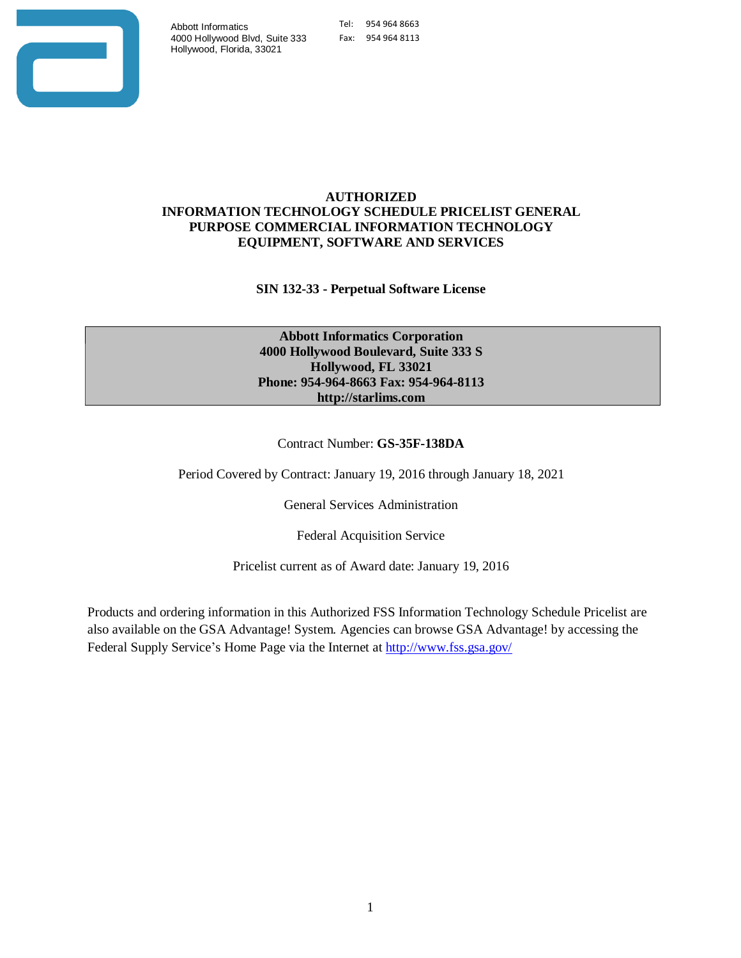

### **AUTHORIZED INFORMATION TECHNOLOGY SCHEDULE PRICELIST GENERAL PURPOSE COMMERCIAL INFORMATION TECHNOLOGY EQUIPMENT, SOFTWARE AND SERVICES**

**SIN 132-33 - Perpetual Software License**

**Abbott Informatics Corporation 4000 Hollywood Boulevard, Suite 333 S Hollywood, FL 33021 Phone: 954-964-8663 Fax: 954-964-811[3](http://starlims.com/) [http://starlims.com](http://starlims.com/)**

Contract Number: **GS-35F-138DA**

Period Covered by Contract: January 19, 2016 through January 18, 2021

General Services Administration

Federal Acquisition Service

Pricelist current as of Award date: January 19, 2016

Products and ordering information in this Authorized FSS Information Technology Schedule Pricelist are also available on the GSA Advantage! System. Agencies can browse GSA Advantage! by accessing the Federal Supply Service's Home Page via the Internet a[t http://www.fss.gsa.gov/](http://www.fss.gsa.gov/)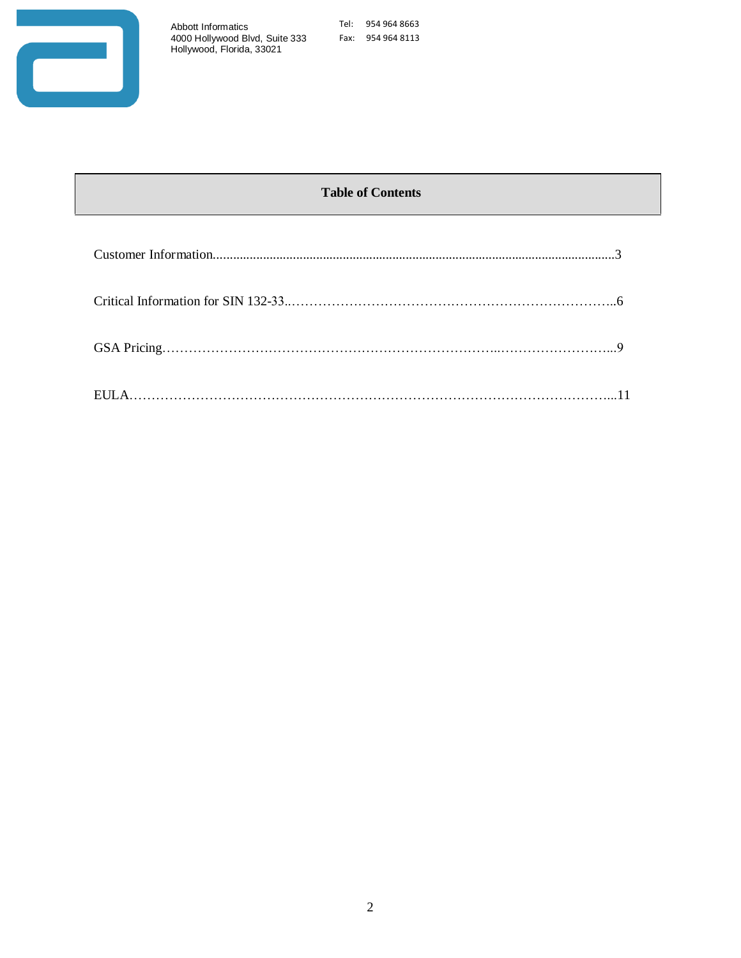

Tel: 954 964 8663 Fax: 954 964 8113

# **Table of Contents**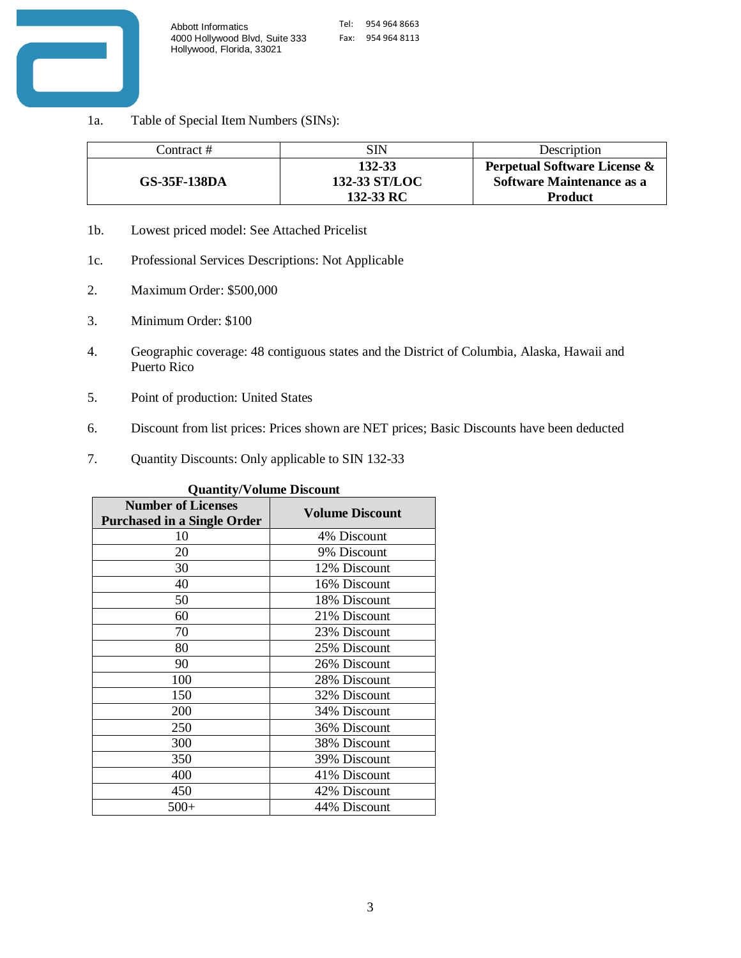

1a. Table of Special Item Numbers (SINs):

| Contract #   | SIN                                  | Description                                                                        |
|--------------|--------------------------------------|------------------------------------------------------------------------------------|
| GS-35F-138DA | 132-33<br>132-33 ST/LOC<br>132-33 RC | Perpetual Software License &<br><b>Software Maintenance as a</b><br><b>Product</b> |

- 1b. Lowest priced model: See Attached Pricelist
- 1c. Professional Services Descriptions: Not Applicable
- 2. Maximum Order: \$500,000
- 3. Minimum Order: \$100
- 4. Geographic coverage: 48 contiguous states and the District of Columbia, Alaska, Hawaii and Puerto Rico
- 5. Point of production: United States
- 6. Discount from list prices: Prices shown are NET prices; Basic Discounts have been deducted
- 7. Quantity Discounts: Only applicable to SIN 132-33

| Quantity/volume Discount                                        |                        |  |  |  |
|-----------------------------------------------------------------|------------------------|--|--|--|
| <b>Number of Licenses</b><br><b>Purchased in a Single Order</b> | <b>Volume Discount</b> |  |  |  |
| 10                                                              | 4% Discount            |  |  |  |
| 20                                                              | 9% Discount            |  |  |  |
| 30                                                              | 12% Discount           |  |  |  |
| 40                                                              | 16% Discount           |  |  |  |
| 50                                                              | 18% Discount           |  |  |  |
| 60                                                              | 21% Discount           |  |  |  |
| 70                                                              | 23% Discount           |  |  |  |
| 80                                                              | 25% Discount           |  |  |  |
| 90                                                              | 26% Discount           |  |  |  |
| 100                                                             | 28% Discount           |  |  |  |
| 150                                                             | 32% Discount           |  |  |  |
| 200                                                             | 34% Discount           |  |  |  |
| 250                                                             | 36% Discount           |  |  |  |
| 300                                                             | 38% Discount           |  |  |  |
| 350                                                             | 39% Discount           |  |  |  |
| 400                                                             | 41% Discount           |  |  |  |
| 450                                                             | 42% Discount           |  |  |  |
| $500+$                                                          | 44% Discount           |  |  |  |

**Quantity/Volume Discount**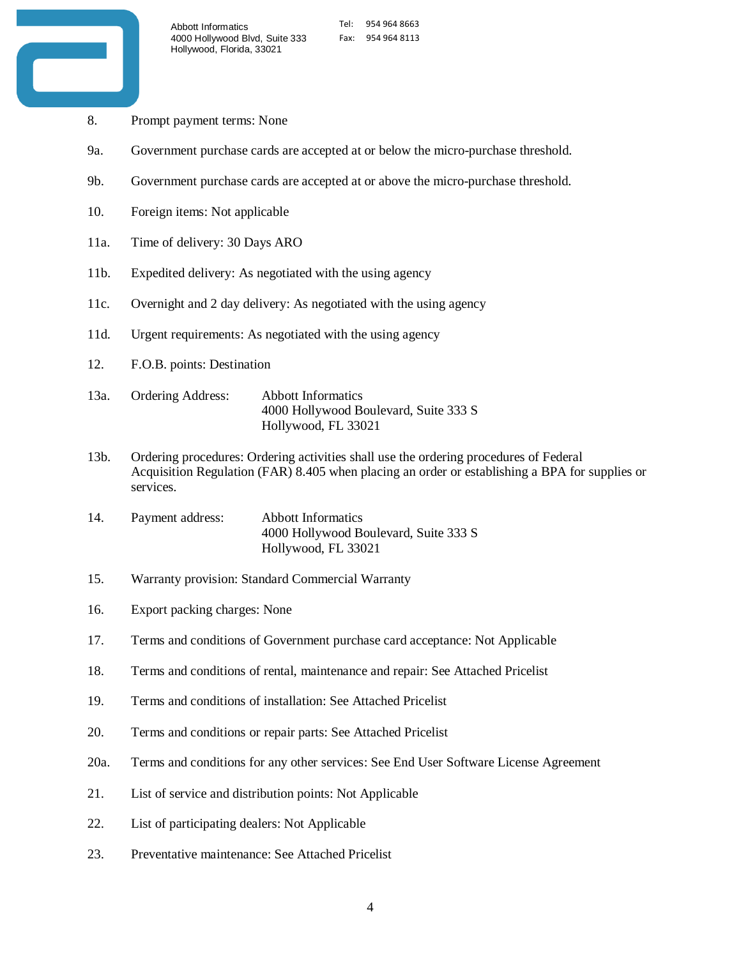

- 8. Prompt payment terms: None
- 9a. Government purchase cards are accepted at or below the micro-purchase threshold.
- 9b. Government purchase cards are accepted at or above the micro-purchase threshold.
- 10. Foreign items: Not applicable
- 11a. Time of delivery: 30 Days ARO
- 11b. Expedited delivery: As negotiated with the using agency
- 11c. Overnight and 2 day delivery: As negotiated with the using agency
- 11d. Urgent requirements: As negotiated with the using agency
- 12. F.O.B. points: Destination
- 13a. Ordering Address: Abbott Informatics 4000 Hollywood Boulevard, Suite 333 S Hollywood, FL 33021
- 13b. Ordering procedures: Ordering activities shall use the ordering procedures of Federal Acquisition Regulation (FAR) 8.405 when placing an order or establishing a BPA for supplies or services.
- 14. Payment address: Abbott Informatics 4000 Hollywood Boulevard, Suite 333 S Hollywood, FL 33021
- 15. Warranty provision: Standard Commercial Warranty
- 16. Export packing charges: None
- 17. Terms and conditions of Government purchase card acceptance: Not Applicable
- 18. Terms and conditions of rental, maintenance and repair: See Attached Pricelist
- 19. Terms and conditions of installation: See Attached Pricelist
- 20. Terms and conditions or repair parts: See Attached Pricelist
- 20a. Terms and conditions for any other services: See End User Software License Agreement
- 21. List of service and distribution points: Not Applicable
- 22. List of participating dealers: Not Applicable
- 23. Preventative maintenance: See Attached Pricelist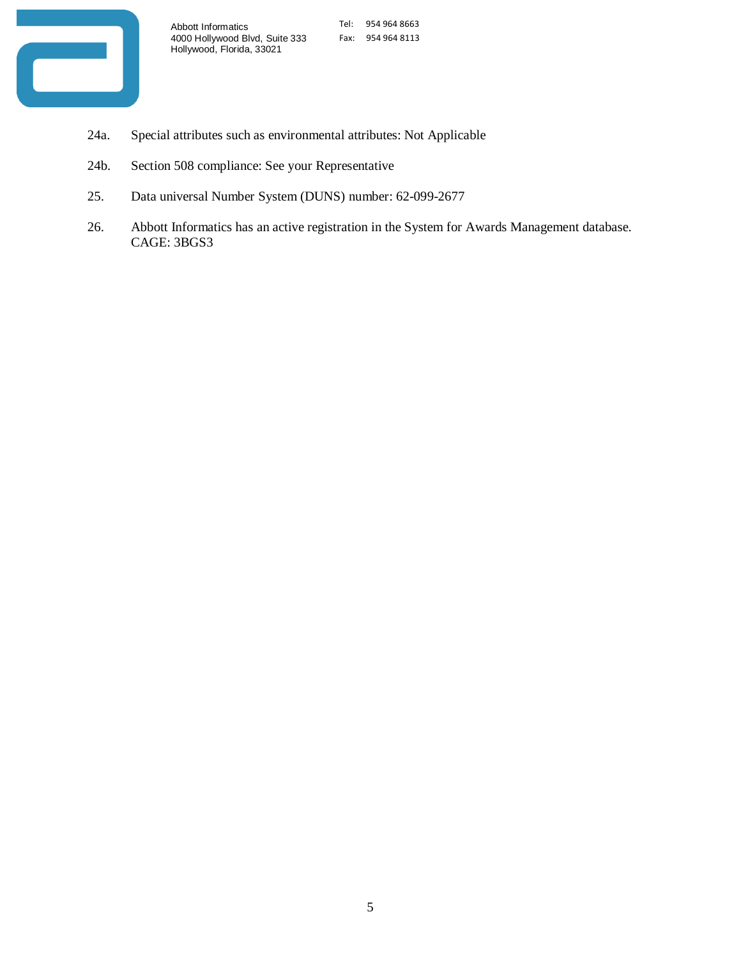

- 24a. Special attributes such as environmental attributes: Not Applicable
- 24b. Section 508 compliance: See your Representative
- 25. Data universal Number System (DUNS) number: 62-099-2677
- 26. Abbott Informatics has an active registration in the System for Awards Management database. CAGE: 3BGS3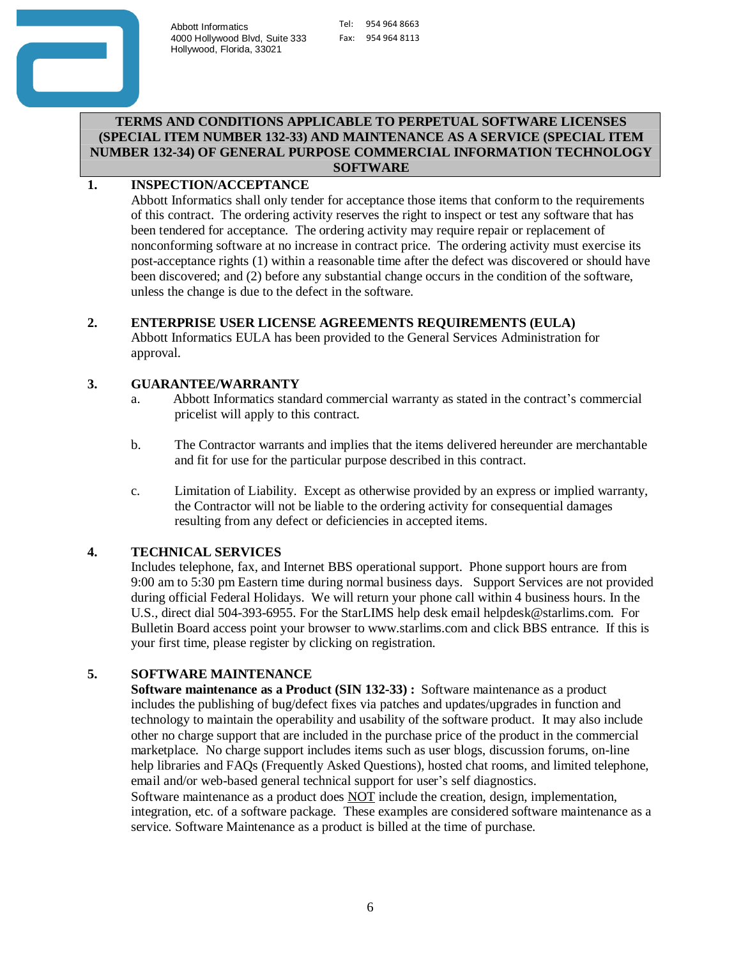

## **TERMS AND CONDITIONS APPLICABLE TO PERPETUAL SOFTWARE LICENSES (SPECIAL ITEM NUMBER 132-33) AND MAINTENANCE AS A SERVICE (SPECIAL ITEM NUMBER 132-34) OF GENERAL PURPOSE COMMERCIAL INFORMATION TECHNOLOGY SOFTWARE**

# **1. INSPECTION/ACCEPTANCE**

Abbott Informatics shall only tender for acceptance those items that conform to the requirements of this contract. The ordering activity reserves the right to inspect or test any software that has been tendered for acceptance. The ordering activity may require repair or replacement of nonconforming software at no increase in contract price. The ordering activity must exercise its post-acceptance rights (1) within a reasonable time after the defect was discovered or should have been discovered; and (2) before any substantial change occurs in the condition of the software, unless the change is due to the defect in the software.

# **2. ENTERPRISE USER LICENSE AGREEMENTS REQUIREMENTS (EULA)**

Abbott Informatics EULA has been provided to the General Services Administration for approval.

# **3. GUARANTEE/WARRANTY**

- a. Abbott Informatics standard commercial warranty as stated in the contract's commercial pricelist will apply to this contract.
- b. The Contractor warrants and implies that the items delivered hereunder are merchantable and fit for use for the particular purpose described in this contract.
- c. Limitation of Liability. Except as otherwise provided by an express or implied warranty, the Contractor will not be liable to the ordering activity for consequential damages resulting from any defect or deficiencies in accepted items.

# **4. TECHNICAL SERVICES**

Includes telephone, fax, and Internet BBS operational support. Phone support hours are from 9:00 am to 5:30 pm Eastern time during normal business days. Support Services are not provided during official Federal Holidays. We will return your phone call within 4 business hours. In the U.S., direct dial 504-393-6955. For the StarLIMS help desk email [helpdesk@starlims.com.](mailto:helpdesk@starlims.com) For Bulletin Board access point your browser [to www.starlims.com](http://www.starlims.com/) and click BBS entrance. If this is your first time, please register by clicking on registration.

# **5. SOFTWARE MAINTENANCE**

**Software maintenance as a Product (SIN 132-33) :** Software maintenance as a product includes the publishing of bug/defect fixes via patches and updates/upgrades in function and technology to maintain the operability and usability of the software product. It may also include other no charge support that are included in the purchase price of the product in the commercial marketplace. No charge support includes items such as user blogs, discussion forums, on-line help libraries and FAQs (Frequently Asked Questions), hosted chat rooms, and limited telephone, email and/or web-based general technical support for user's self diagnostics.

Software maintenance as a product does NOT include the creation, design, implementation, integration, etc. of a software package. These examples are considered software maintenance as a service. Software Maintenance as a product is billed at the time of purchase.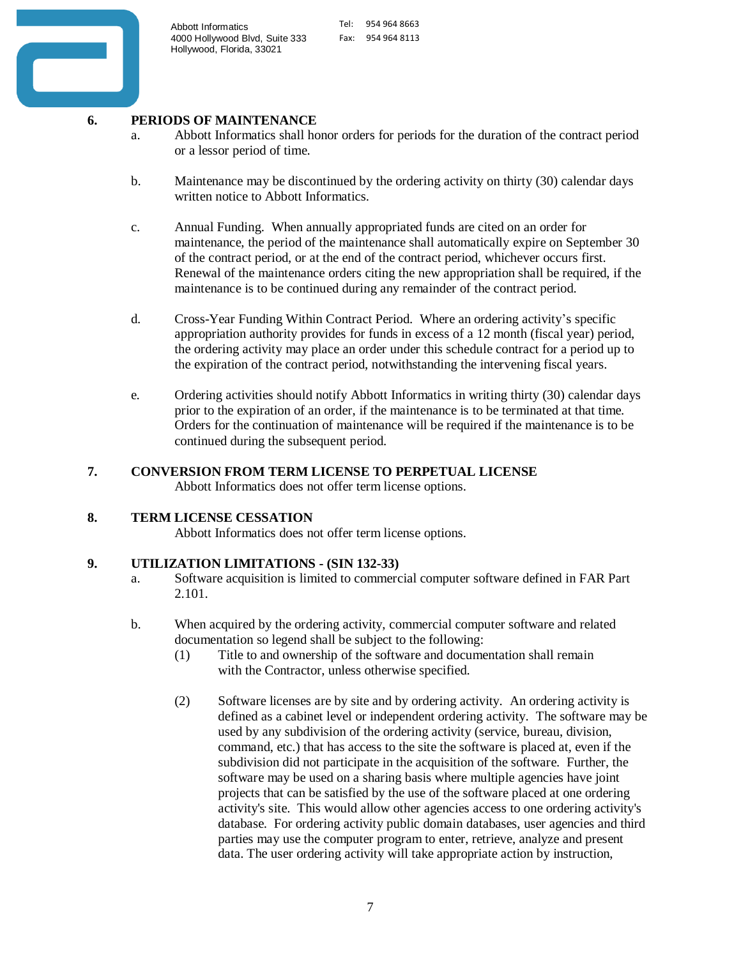

# **6. PERIODS OF MAINTENANCE**

- a. Abbott Informatics shall honor orders for periods for the duration of the contract period or a lessor period of time.
- b. Maintenance may be discontinued by the ordering activity on thirty (30) calendar days written notice to Abbott Informatics.
- c. Annual Funding. When annually appropriated funds are cited on an order for maintenance, the period of the maintenance shall automatically expire on September 30 of the contract period, or at the end of the contract period, whichever occurs first. Renewal of the maintenance orders citing the new appropriation shall be required, if the maintenance is to be continued during any remainder of the contract period.
- d. Cross-Year Funding Within Contract Period. Where an ordering activity's specific appropriation authority provides for funds in excess of a 12 month (fiscal year) period, the ordering activity may place an order under this schedule contract for a period up to the expiration of the contract period, notwithstanding the intervening fiscal years.
- e. Ordering activities should notify Abbott Informatics in writing thirty (30) calendar days prior to the expiration of an order, if the maintenance is to be terminated at that time. Orders for the continuation of maintenance will be required if the maintenance is to be continued during the subsequent period.

# **7. CONVERSION FROM TERM LICENSE TO PERPETUAL LICENSE**

Abbott Informatics does not offer term license options.

## **8. TERM LICENSE CESSATION**

Abbott Informatics does not offer term license options.

## **9. UTILIZATION LIMITATIONS - (SIN 132-33)**

- a. Software acquisition is limited to commercial computer software defined in FAR Part 2.101.
- b. When acquired by the ordering activity, commercial computer software and related documentation so legend shall be subject to the following:
	- (1) Title to and ownership of the software and documentation shall remain with the Contractor, unless otherwise specified.
	- (2) Software licenses are by site and by ordering activity. An ordering activity is defined as a cabinet level or independent ordering activity. The software may be used by any subdivision of the ordering activity (service, bureau, division, command, etc.) that has access to the site the software is placed at, even if the subdivision did not participate in the acquisition of the software. Further, the software may be used on a sharing basis where multiple agencies have joint projects that can be satisfied by the use of the software placed at one ordering activity's site. This would allow other agencies access to one ordering activity's database. For ordering activity public domain databases, user agencies and third parties may use the computer program to enter, retrieve, analyze and present data. The user ordering activity will take appropriate action by instruction,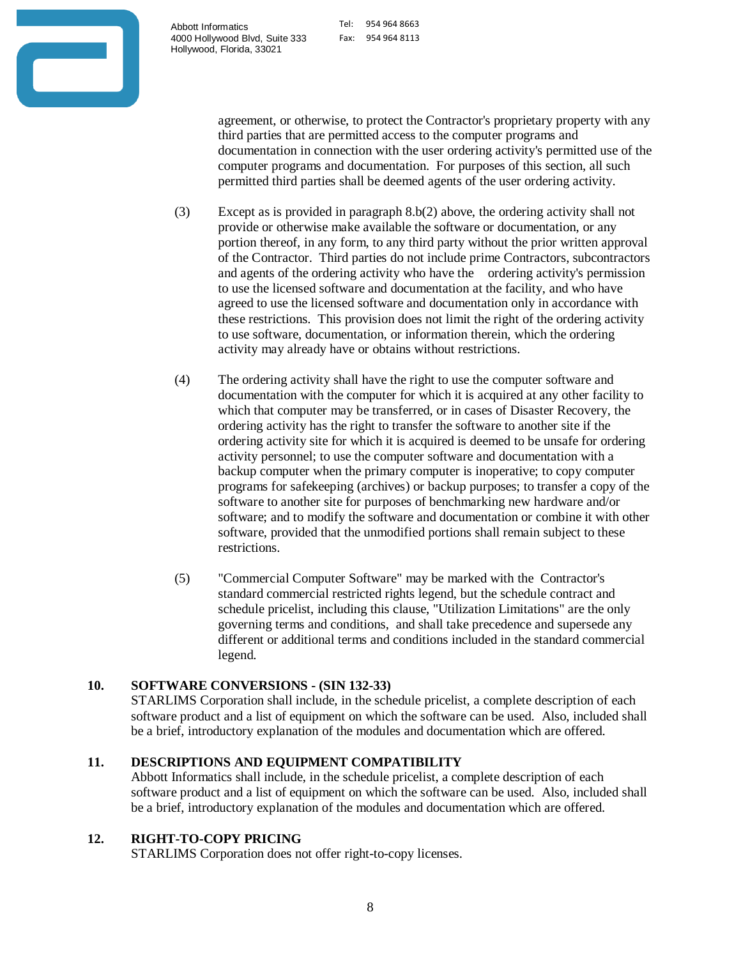Tel: 954 964 8663 Fax: 954 964 8113



agreement, or otherwise, to protect the Contractor's proprietary property with any third parties that are permitted access to the computer programs and documentation in connection with the user ordering activity's permitted use of the computer programs and documentation. For purposes of this section, all such permitted third parties shall be deemed agents of the user ordering activity.

- (3) Except as is provided in paragraph 8.b(2) above, the ordering activity shall not provide or otherwise make available the software or documentation, or any portion thereof, in any form, to any third party without the prior written approval of the Contractor. Third parties do not include prime Contractors, subcontractors and agents of the ordering activity who have the ordering activity's permission to use the licensed software and documentation at the facility, and who have agreed to use the licensed software and documentation only in accordance with these restrictions. This provision does not limit the right of the ordering activity to use software, documentation, or information therein, which the ordering activity may already have or obtains without restrictions.
- (4) The ordering activity shall have the right to use the computer software and documentation with the computer for which it is acquired at any other facility to which that computer may be transferred, or in cases of Disaster Recovery, the ordering activity has the right to transfer the software to another site if the ordering activity site for which it is acquired is deemed to be unsafe for ordering activity personnel; to use the computer software and documentation with a backup computer when the primary computer is inoperative; to copy computer programs for safekeeping (archives) or backup purposes; to transfer a copy of the software to another site for purposes of benchmarking new hardware and/or software; and to modify the software and documentation or combine it with other software, provided that the unmodified portions shall remain subject to these restrictions.
- (5) "Commercial Computer Software" may be marked with the Contractor's standard commercial restricted rights legend, but the schedule contract and schedule pricelist, including this clause, "Utilization Limitations" are the only governing terms and conditions, and shall take precedence and supersede any different or additional terms and conditions included in the standard commercial legend.

# **10. SOFTWARE CONVERSIONS - (SIN 132-33)**

STARLIMS Corporation shall include, in the schedule pricelist, a complete description of each software product and a list of equipment on which the software can be used. Also, included shall be a brief, introductory explanation of the modules and documentation which are offered.

# **11. DESCRIPTIONS AND EQUIPMENT COMPATIBILITY**

Abbott Informatics shall include, in the schedule pricelist, a complete description of each software product and a list of equipment on which the software can be used. Also, included shall be a brief, introductory explanation of the modules and documentation which are offered.

# **12. RIGHT-TO-COPY PRICING**

STARLIMS Corporation does not offer right-to-copy licenses.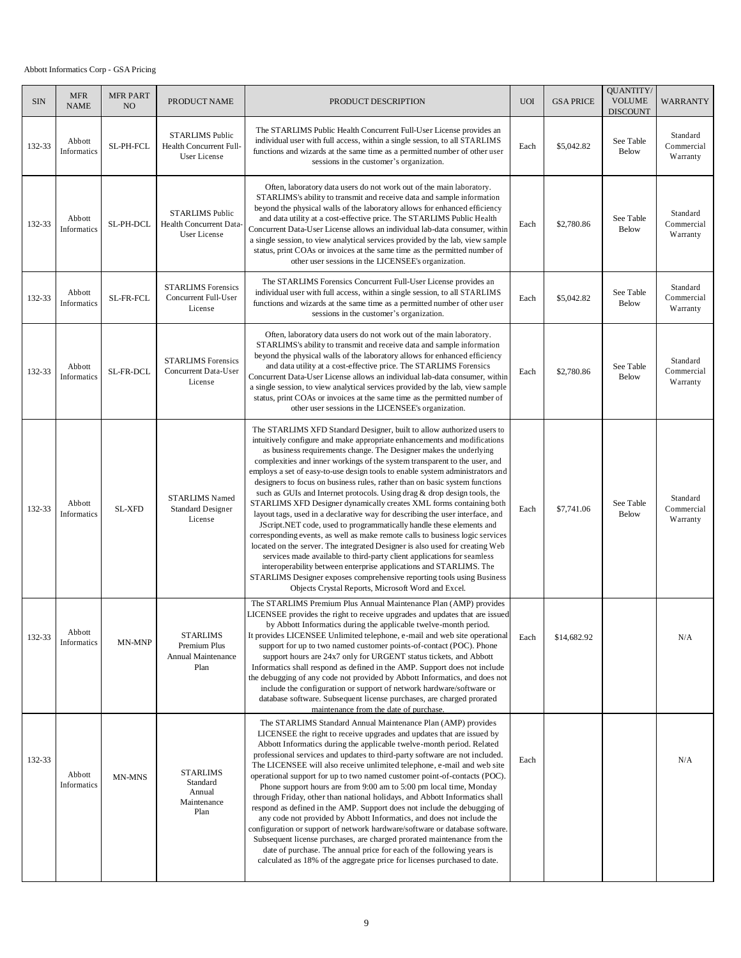#### Abbott Informatics Corp - GSA Pricing

| <b>SIN</b> | <b>MFR</b><br><b>NAME</b> | <b>MFR PART</b><br>NO <sub>1</sub> | PRODUCT NAME                                                      | PRODUCT DESCRIPTION                                                                                                                                                                                                                                                                                                                                                                                                                                                                                                                                                                                                                                                                                                                                                                                                                                                                                                                                                                                                                                                                                                                                                                                                                   | <b>UOI</b> | <b>GSA PRICE</b> | QUANTITY/<br><b>VOLUME</b><br><b>DISCOUNT</b> | WARRANTY                           |
|------------|---------------------------|------------------------------------|-------------------------------------------------------------------|---------------------------------------------------------------------------------------------------------------------------------------------------------------------------------------------------------------------------------------------------------------------------------------------------------------------------------------------------------------------------------------------------------------------------------------------------------------------------------------------------------------------------------------------------------------------------------------------------------------------------------------------------------------------------------------------------------------------------------------------------------------------------------------------------------------------------------------------------------------------------------------------------------------------------------------------------------------------------------------------------------------------------------------------------------------------------------------------------------------------------------------------------------------------------------------------------------------------------------------|------------|------------------|-----------------------------------------------|------------------------------------|
| 132-33     | Abbott<br>Informatics     | SL-PH-FCL                          | <b>STARLIMS Public</b><br>Health Concurrent Full-<br>User License | The STARLIMS Public Health Concurrent Full-User License provides an<br>individual user with full access, within a single session, to all STARLIMS<br>functions and wizards at the same time as a permitted number of other user<br>sessions in the customer's organization.                                                                                                                                                                                                                                                                                                                                                                                                                                                                                                                                                                                                                                                                                                                                                                                                                                                                                                                                                           | Each       | \$5,042.82       | See Table<br>Below                            | Standard<br>Commercial<br>Warranty |
| 132-33     | Abbott<br>Informatics     | SL-PH-DCL                          | <b>STARLIMS Public</b><br>Health Concurrent Data-<br>User License | Often, laboratory data users do not work out of the main laboratory.<br>STARLIMS's ability to transmit and receive data and sample information<br>beyond the physical walls of the laboratory allows for enhanced efficiency<br>and data utility at a cost-effective price. The STARLIMS Public Health<br>Concurrent Data-User License allows an individual lab-data consumer, within<br>a single session, to view analytical services provided by the lab, view sample<br>status, print COAs or invoices at the same time as the permitted number of<br>other user sessions in the LICENSEE's organization.                                                                                                                                                                                                                                                                                                                                                                                                                                                                                                                                                                                                                          | Each       | \$2,780.86       | See Table<br>Below                            | Standard<br>Commercial<br>Warranty |
| 132-33     | Abbott<br>Informatics     | SL-FR-FCL                          | <b>STARLIMS</b> Forensics<br>Concurrent Full-User<br>License      | The STARLIMS Forensics Concurrent Full-User License provides an<br>individual user with full access, within a single session, to all STARLIMS<br>functions and wizards at the same time as a permitted number of other user<br>sessions in the customer's organization.                                                                                                                                                                                                                                                                                                                                                                                                                                                                                                                                                                                                                                                                                                                                                                                                                                                                                                                                                               | Each       | \$5,042.82       | See Table<br>Below                            | Standard<br>Commercial<br>Warranty |
| 132-33     | Abbott<br>Informatics     | SL-FR-DCL                          | <b>STARLIMS</b> Forensics<br>Concurrent Data-User<br>License      | Often, laboratory data users do not work out of the main laboratory.<br>STARLIMS's ability to transmit and receive data and sample information<br>beyond the physical walls of the laboratory allows for enhanced efficiency<br>and data utility at a cost-effective price. The STARLIMS Forensics<br>Concurrent Data-User License allows an individual lab-data consumer, within<br>a single session, to view analytical services provided by the lab, view sample<br>status, print COAs or invoices at the same time as the permitted number of<br>other user sessions in the LICENSEE's organization.                                                                                                                                                                                                                                                                                                                                                                                                                                                                                                                                                                                                                              | Each       | \$2,780.86       | See Table<br>Below                            | Standard<br>Commercial<br>Warranty |
| 132-33     | Abbott<br>Informatics     | <b>SL-XFD</b>                      | <b>STARLIMS Named</b><br><b>Standard Designer</b><br>License      | The STARLIMS XFD Standard Designer, built to allow authorized users to<br>intuitively configure and make appropriate enhancements and modifications<br>as business requirements change. The Designer makes the underlying<br>complexities and inner workings of the system transparent to the user, and<br>employs a set of easy-to-use design tools to enable system administrators and<br>designers to focus on business rules, rather than on basic system functions<br>such as GUIs and Internet protocols. Using drag & drop design tools, the<br>STARLIMS XFD Designer dynamically creates XML forms containing both<br>layout tags, used in a declarative way for describing the user interface, and<br>JScript.NET code, used to programmatically handle these elements and<br>corresponding events, as well as make remote calls to business logic services<br>located on the server. The integrated Designer is also used for creating Web<br>services made available to third-party client applications for seamless<br>interoperability between enterprise applications and STARLIMS. The<br>STARLIMS Designer exposes comprehensive reporting tools using Business<br>Objects Crystal Reports, Microsoft Word and Excel. | Each       | \$7,741.06       | See Table<br><b>Below</b>                     | Standard<br>Commercial<br>Warranty |
| 132-33     | Abbott<br>Informatics     | MN-MNP                             | <b>STARLIMS</b><br>Premium Plus<br>Annual Maintenance<br>Plan     | The STARLIMS Premium Plus Annual Maintenance Plan (AMP) provides<br>LICENSEE provides the right to receive upgrades and updates that are issued<br>by Abbott Informatics during the applicable twelve-month period.<br>It provides LICENSEE Unlimited telephone, e-mail and web site operational<br>support for up to two named customer points-of-contact (POC). Phone<br>support hours are 24x7 only for URGENT status tickets, and Abbott<br>Informatics shall respond as defined in the AMP. Support does not include<br>the debugging of any code not provided by Abbott Informatics, and does not<br>include the configuration or support of network hardware/software or<br>database software. Subsequent license purchases, are charged prorated<br>maintenance from the date of purchase.                                                                                                                                                                                                                                                                                                                                                                                                                                    | Each       | \$14,682.92      |                                               | N/A                                |
| 132-33     | Abbott<br>Informatics     | MN-MNS                             | <b>STARLIMS</b><br>Standard<br>Annual<br>Maintenance<br>Plan      | The STARLIMS Standard Annual Maintenance Plan (AMP) provides<br>LICENSEE the right to receive upgrades and updates that are issued by<br>Abbott Informatics during the applicable twelve-month period. Related<br>professional services and updates to third-party software are not included.<br>The LICENSEE will also receive unlimited telephone, e-mail and web site<br>operational support for up to two named customer point-of-contacts (POC).<br>Phone support hours are from 9:00 am to 5:00 pm local time, Monday<br>through Friday, other than national holidays, and Abbott Informatics shall<br>respond as defined in the AMP. Support does not include the debugging of<br>any code not provided by Abbott Informatics, and does not include the<br>configuration or support of network hardware/software or database software.<br>Subsequent license purchases, are charged prorated maintenance from the<br>date of purchase. The annual price for each of the following years is<br>calculated as 18% of the aggregate price for licenses purchased to date.                                                                                                                                                         | Each       |                  |                                               | N/A                                |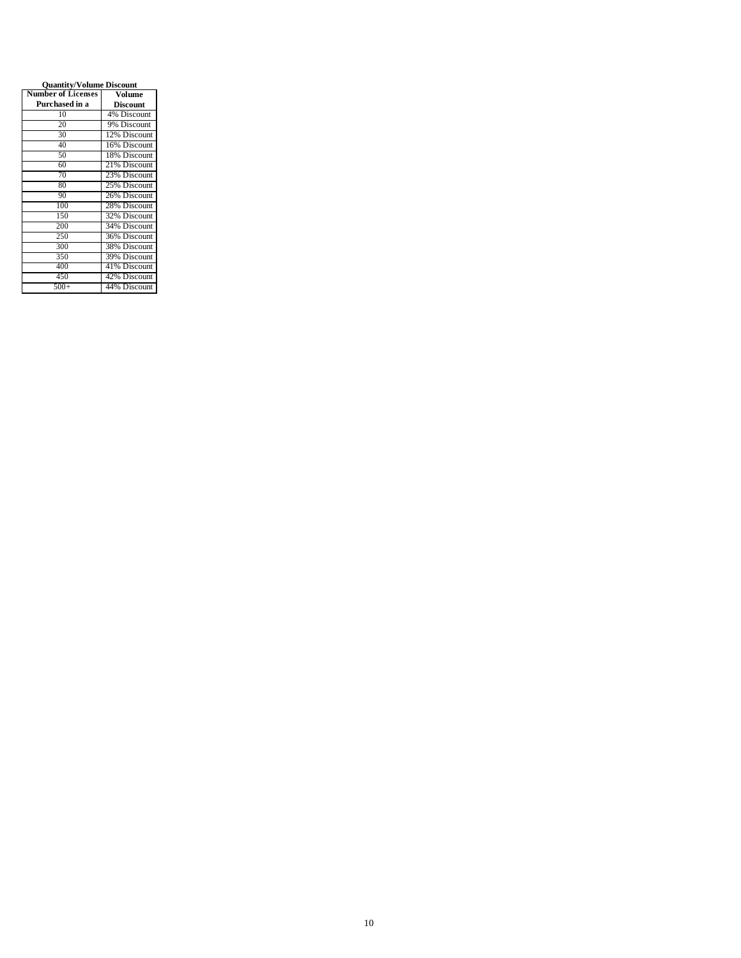| <b>Quantity/Volume Discount</b> |                 |  |  |  |
|---------------------------------|-----------------|--|--|--|
| <b>Number of Licenses</b>       | Volume          |  |  |  |
| Purchased in a                  | <b>Discount</b> |  |  |  |
| 10                              | 4% Discount     |  |  |  |
| 20                              | 9% Discount     |  |  |  |
| 30                              | 12% Discount    |  |  |  |
| 40                              | 16% Discount    |  |  |  |
| 50                              | 18% Discount    |  |  |  |
| 60                              | 21% Discount    |  |  |  |
| 70                              | 23% Discount    |  |  |  |
| 80                              | 25% Discount    |  |  |  |
| 90                              | 26% Discount    |  |  |  |
| 100                             | 28% Discount    |  |  |  |
| 150                             | 32% Discount    |  |  |  |
| 200                             | 34% Discount    |  |  |  |
| 250                             | 36% Discount    |  |  |  |
| 300                             | 38% Discount    |  |  |  |
| 350                             | 39% Discount    |  |  |  |
| 400                             | 41% Discount    |  |  |  |
| 450                             | 42% Discount    |  |  |  |
| $500+$                          | 44% Discount    |  |  |  |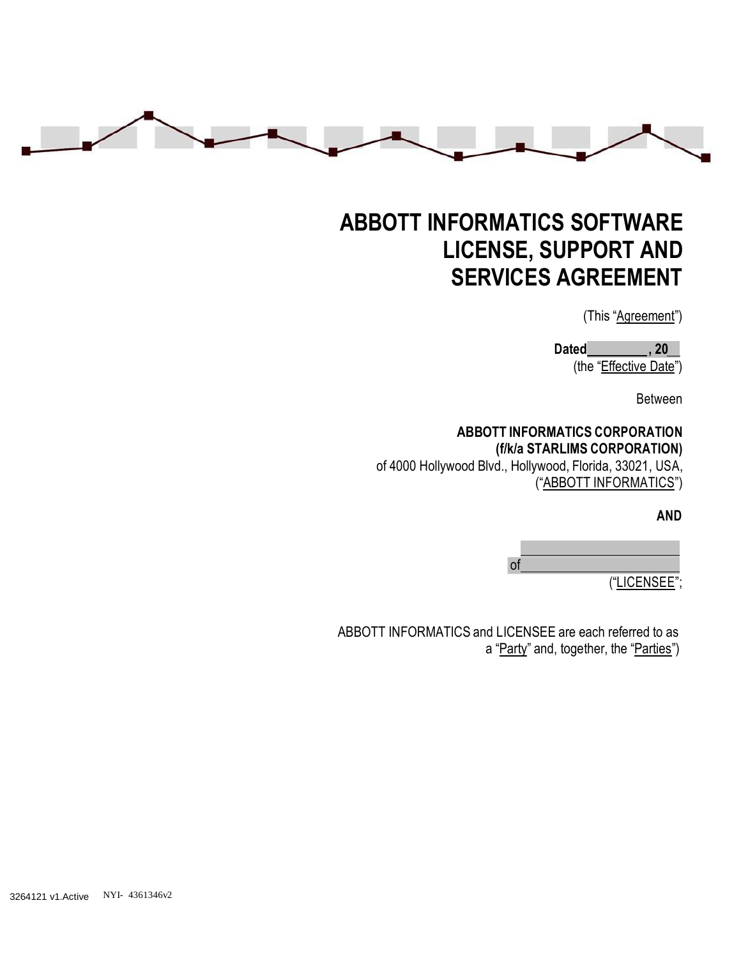

# **ABBOTT INFORMATICS SOFTWARE LICENSE, SUPPORT AND SERVICES AGREEMENT**

(This "Agreement")

**Dated , 20** (the "Effective Date")

Between

# **ABBOTT INFORMATICS CORPORATION (f/k/a STARLIMS CORPORATION)**

of 4000 Hollywood Blvd., Hollywood, Florida, 33021, USA, ("ABBOTT INFORMATICS")

**AND**

of

("LICENSEE";

ABBOTT INFORMATICS and LICENSEE are each referred to as a "Party" and, together, the "Parties")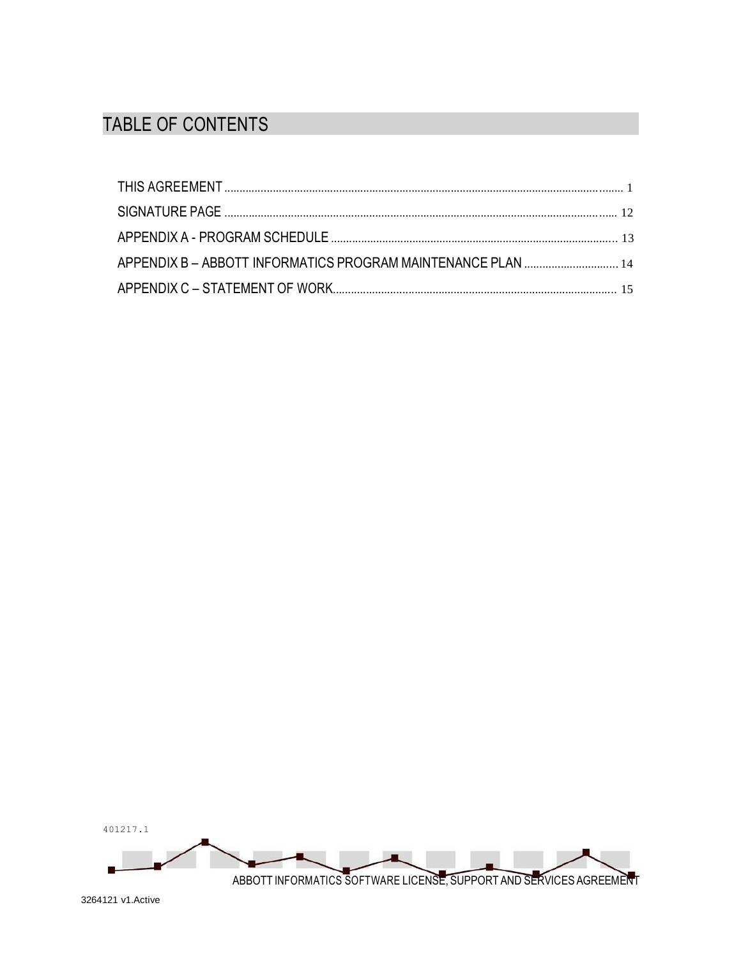# TABLE OF CONTENTS

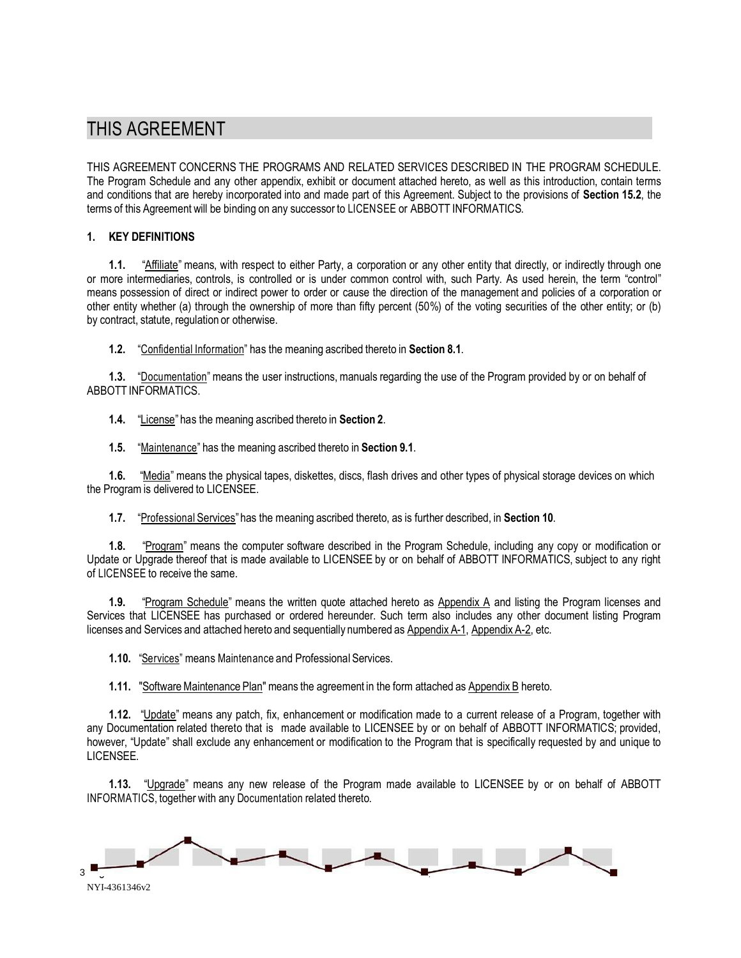# THIS AGREEMENT

THIS AGREEMENT CONCERNS THE PROGRAMS AND RELATED SERVICES DESCRIBED IN THE PROGRAM SCHEDULE. The Program Schedule and any other appendix, exhibit or document attached hereto, as well as this introduction, contain terms and conditions that are hereby incorporated into and made part of this Agreement. Subject to the provisions of **Section 15.2**, the terms of this Agreement will be binding on any successor to LICENSEE or ABBOTT INFORMATICS.

#### **1. KEY DEFINITIONS**

**1.1.** "Affiliate" means, with respect to either Party, a corporation or any other entity that directly, or indirectly through one or more intermediaries, controls, is controlled or is under common control with, such Party. As used herein, the term "control" means possession of direct or indirect power to order or cause the direction of the management and policies of a corporation or other entity whether (a) through the ownership of more than fifty percent (50%) of the voting securities of the other entity; or (b) by contract, statute, regulation or otherwise.

**1.2.** "Confidential Information" has the meaning ascribed thereto in **Section 8.1**.

**1.3.** "Documentation" means the user instructions, manuals regarding the use of the Program provided by or on behalf of ABBOTT INFORMATICS.

**1.4.** "License" has the meaning ascribed thereto in **Section 2**.

**1.5.** "Maintenance" has the meaning ascribed thereto in **Section 9.1**.

**1.6.** "Media" means the physical tapes, diskettes, discs, flash drives and other types of physical storage devices on which the Program is delivered to LICENSEE.

**1.7.** "Professional Services" has the meaning ascribed thereto, as is further described, in **Section 10**.

**1.8.** "Program" means the computer software described in the Program Schedule, including any copy or modification or Update or Upgrade thereof that is made available to LICENSEE by or on behalf of ABBOTT INFORMATICS, subject to any right of LICENSEE to receive the same.

**1.9.** "Program Schedule" means the written quote attached hereto as Appendix A and listing the Program licenses and Services that LICENSEE has purchased or ordered hereunder. Such term also includes any other document listing Program licenses and Services and attached hereto and sequentially numbered as Appendix A-1, Appendix A-2, etc.

**1.10.** "Services" means Maintenance and Professional Services.

**1.11.** "Software Maintenance Plan" means the agreement in the form attached as Appendix B hereto.

**1.12.** "Update" means any patch, fix, enhancement or modification made to a current release of a Program, together with any Documentation related thereto that is made available to LICENSEE by or on behalf of ABBOTT INFORMATICS; provided, however, "Update" shall exclude any enhancement or modification to the Program that is specifically requested by and unique to LICENSEE.

**1.13.** "Upgrade" means any new release of the Program made available to LICENSEE by or on behalf of ABBOTT INFORMATICS, together with any Documentation related thereto.

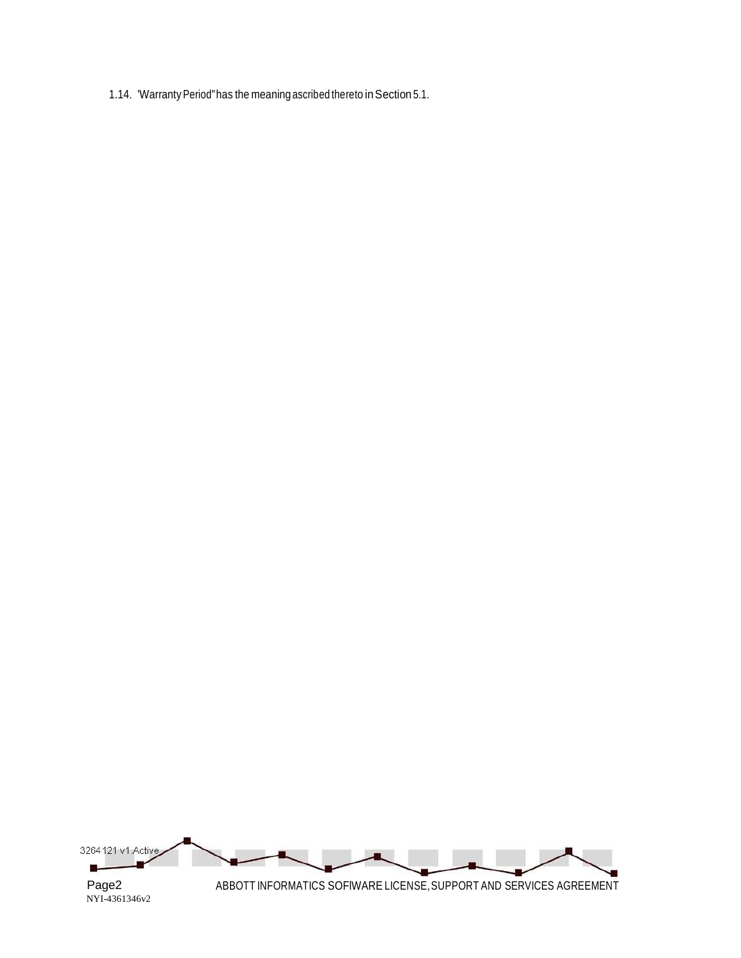1.14. 'Warranty Period" has the meaning ascribed thereto in Section 5.1.

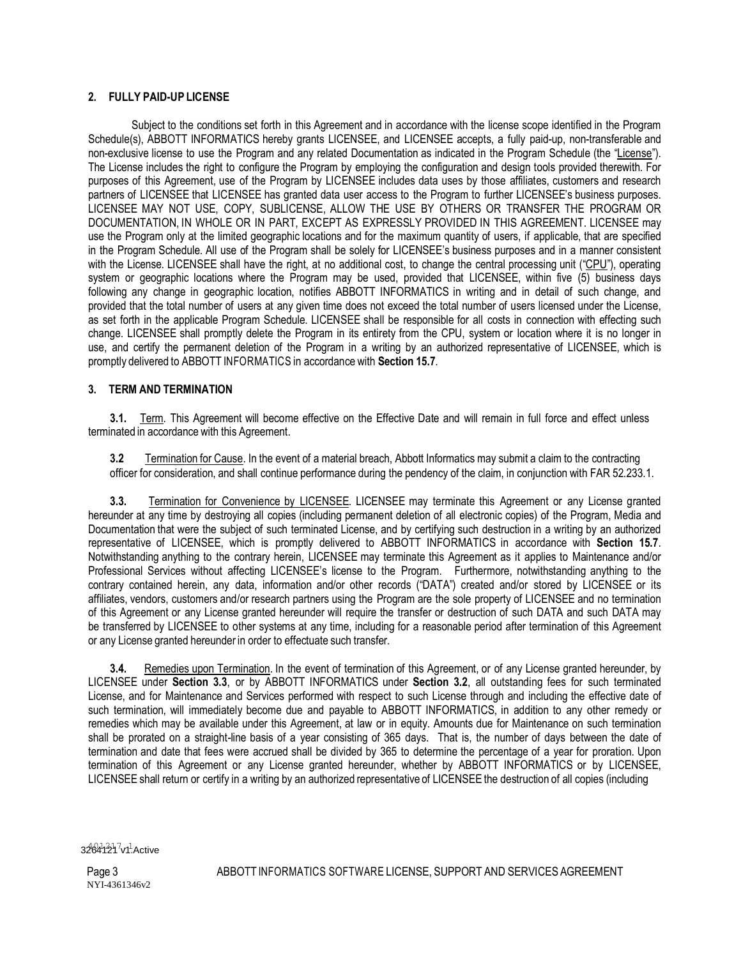#### **2. FULLY PAID-UP LICENSE**

Subject to the conditions set forth in this Agreement and in accordance with the license scope identified in the Program Schedule(s), ABBOTT INFORMATICS hereby grants LICENSEE, and LICENSEE accepts, a fully paid-up, non-transferable and non-exclusive license to use the Program and any related Documentation as indicated in the Program Schedule (the "License"). The License includes the right to configure the Program by employing the configuration and design tools provided therewith. For purposes of this Agreement, use of the Program by LICENSEE includes data uses by those affiliates, customers and research partners of LICENSEE that LICENSEE has granted data user access to the Program to further LICENSEE's business purposes. LICENSEE MAY NOT USE, COPY, SUBLICENSE, ALLOW THE USE BY OTHERS OR TRANSFER THE PROGRAM OR DOCUMENTATION, IN WHOLE OR IN PART, EXCEPT AS EXPRESSLY PROVIDED IN THIS AGREEMENT. LICENSEE may use the Program only at the limited geographic locations and for the maximum quantity of users, if applicable, that are specified in the Program Schedule. All use of the Program shall be solely for LICENSEE's business purposes and in a manner consistent with the License. LICENSEE shall have the right, at no additional cost, to change the central processing unit ("CPU"), operating system or geographic locations where the Program may be used, provided that LICENSEE, within five (5) business days following any change in geographic location, notifies ABBOTT INFORMATICS in writing and in detail of such change, and provided that the total number of users at any given time does not exceed the total number of users licensed under the License, as set forth in the applicable Program Schedule. LICENSEE shall be responsible for all costs in connection with effecting such change. LICENSEE shall promptly delete the Program in its entirety from the CPU, system or location where it is no longer in use, and certify the permanent deletion of the Program in a writing by an authorized representative of LICENSEE, which is promptly delivered to ABBOTT INFORMATICS in accordance with **Section 15.7**.

#### **3. TERM AND TERMINATION**

**3.1.** Term. This Agreement will become effective on the Effective Date and will remain in full force and effect unless terminated in accordance with this Agreement.

**3.2** Termination for Cause. In the event of a material breach, Abbott Informatics may submit a claim to the contracting officer for consideration, and shall continue performance during the pendency of the claim, in conjunction with FAR 52.233.1.

**3.3.** Termination for Convenience by LICENSEE. LICENSEE may terminate this Agreement or any License granted hereunder at any time by destroying all copies (including permanent deletion of all electronic copies) of the Program, Media and Documentation that were the subject of such terminated License, and by certifying such destruction in a writing by an authorized representative of LICENSEE, which is promptly delivered to ABBOTT INFORMATICS in accordance with **Section 15.7**. Notwithstanding anything to the contrary herein, LICENSEE may terminate this Agreement as it applies to Maintenance and/or Professional Services without affecting LICENSEE's license to the Program. Furthermore, notwithstanding anything to the contrary contained herein, any data, information and/or other records ("DATA") created and/or stored by LICENSEE or its affiliates, vendors, customers and/or research partners using the Program are the sole property of LICENSEE and no termination of this Agreement or any License granted hereunder will require the transfer or destruction of such DATA and such DATA may be transferred by LICENSEE to other systems at any time, including for a reasonable period after termination of this Agreement or any License granted hereunder in order to effectuate such transfer.

**3.4.** Remedies upon Termination. In the event of termination of this Agreement, or of any License granted hereunder, by LICENSEE under **Section 3.3**, or by ABBOTT INFORMATICS under **Section 3.2**, all outstanding fees for such terminated License, and for Maintenance and Services performed with respect to such License through and including the effective date of such termination, will immediately become due and payable to ABBOTT INFORMATICS, in addition to any other remedy or remedies which may be available under this Agreement, at law or in equity. Amounts due for Maintenance on such termination shall be prorated on a straight-line basis of a year consisting of 365 days. That is, the number of days between the date of termination and date that fees were accrued shall be divided by 365 to determine the percentage of a year for proration. Upon termination of this Agreement or any License granted hereunder, whether by ABBOTT INFORMATICS or by LICENSEE, LICENSEE shall return or certify in a writing by an authorized representative of LICENSEE the destruction of all copies (including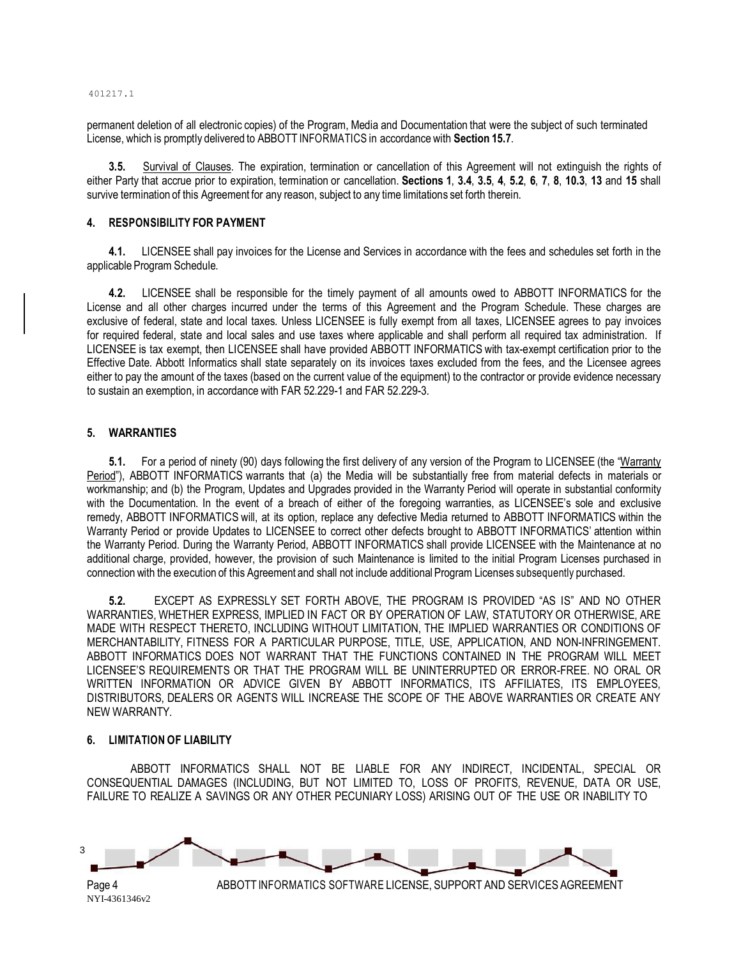401217.1

permanent deletion of all electronic copies) of the Program, Media and Documentation that were the subject of such terminated License, which is promptly delivered to ABBOTT INFORMATICS in accordance with **Section 15.7**.

**3.5.** Survival of Clauses. The expiration, termination or cancellation of this Agreement will not extinguish the rights of either Party that accrue prior to expiration, termination or cancellation. **Sections 1**, **3.4**, **3.5**, **4**, **5.2**, **6**, **7**, **8**, **10.3**, **13** and **15** shall survive termination of this Agreement for any reason, subject to any time limitations set forth therein.

#### **4. RESPONSIBILITY FOR PAYMENT**

**4.1.** LICENSEE shall pay invoices for the License and Services in accordance with the fees and schedules set forth in the applicable Program Schedule.

**4.2.** LICENSEE shall be responsible for the timely payment of all amounts owed to ABBOTT INFORMATICS for the License and all other charges incurred under the terms of this Agreement and the Program Schedule. These charges are exclusive of federal, state and local taxes. Unless LICENSEE is fully exempt from all taxes, LICENSEE agrees to pay invoices for required federal, state and local sales and use taxes where applicable and shall perform all required tax administration. If LICENSEE is tax exempt, then LICENSEE shall have provided ABBOTT INFORMATICS with tax-exempt certification prior to the Effective Date. Abbott Informatics shall state separately on its invoices taxes excluded from the fees, and the Licensee agrees either to pay the amount of the taxes (based on the current value of the equipment) to the contractor or provide evidence necessary to sustain an exemption, in accordance with FAR 52.229-1 and FAR 52.229-3.

#### **5. WARRANTIES**

**5.1.** For a period of ninety (90) days following the first delivery of any version of the Program to LICENSEE (the "Warranty Period"), ABBOTT INFORMATICS warrants that (a) the Media will be substantially free from material defects in materials or workmanship; and (b) the Program, Updates and Upgrades provided in the Warranty Period will operate in substantial conformity with the Documentation. In the event of a breach of either of the foregoing warranties, as LICENSEE's sole and exclusive remedy, ABBOTT INFORMATICS will, at its option, replace any defective Media returned to ABBOTT INFORMATICS within the Warranty Period or provide Updates to LICENSEE to correct other defects brought to ABBOTT INFORMATICS' attention within the Warranty Period. During the Warranty Period, ABBOTT INFORMATICS shall provide LICENSEE with the Maintenance at no additional charge, provided, however, the provision of such Maintenance is limited to the initial Program Licenses purchased in connection with the execution of this Agreement and shall not include additional Program Licenses subsequently purchased.

**5.2.** EXCEPT AS EXPRESSLY SET FORTH ABOVE, THE PROGRAM IS PROVIDED "AS IS" AND NO OTHER WARRANTIES, WHETHER EXPRESS, IMPLIED IN FACT OR BY OPERATION OF LAW, STATUTORY OR OTHERWISE, ARE MADE WITH RESPECT THERETO, INCLUDING WITHOUT LIMITATION, THE IMPLIED WARRANTIES OR CONDITIONS OF MERCHANTABILITY, FITNESS FOR A PARTICULAR PURPOSE, TITLE, USE, APPLICATION, AND NON-INFRINGEMENT. ABBOTT INFORMATICS DOES NOT WARRANT THAT THE FUNCTIONS CONTAINED IN THE PROGRAM WILL MEET LICENSEE'S REQUIREMENTS OR THAT THE PROGRAM WILL BE UNINTERRUPTED OR ERROR-FREE. NO ORAL OR WRITTEN INFORMATION OR ADVICE GIVEN BY ABBOTT INFORMATICS, ITS AFFILIATES, ITS EMPLOYEES, DISTRIBUTORS, DEALERS OR AGENTS WILL INCREASE THE SCOPE OF THE ABOVE WARRANTIES OR CREATE ANY NEW WARRANTY.

#### **6. LIMITATION OF LIABILITY**

ABBOTT INFORMATICS SHALL NOT BE LIABLE FOR ANY INDIRECT, INCIDENTAL, SPECIAL OR CONSEQUENTIAL DAMAGES (INCLUDING, BUT NOT LIMITED TO, LOSS OF PROFITS, REVENUE, DATA OR USE, FAILURE TO REALIZE A SAVINGS OR ANY OTHER PECUNIARY LOSS) ARISING OUT OF THE USE OR INABILITY TO

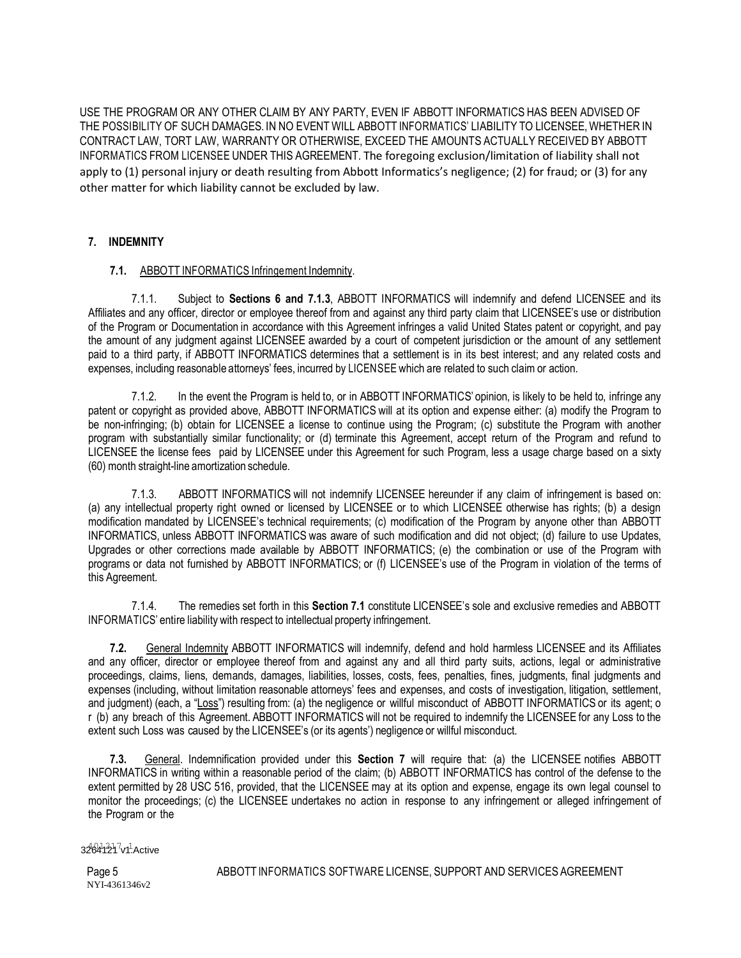USE THE PROGRAM OR ANY OTHER CLAIM BY ANY PARTY, EVEN IF ABBOTT INFORMATICS HAS BEEN ADVISED OF THE POSSIBILITY OF SUCH DAMAGES. IN NO EVENT WILL ABBOTT INFORMATICS' LIABILITY TO LICENSEE,WHETHER IN CONTRACT LAW, TORT LAW, WARRANTY OR OTHERWISE, EXCEED THE AMOUNTS ACTUALLY RECEIVED BY ABBOTT INFORMATICS FROM LICENSEE UNDER THIS AGREEMENT. The foregoing exclusion/limitation of liability shall not apply to (1) personal injury or death resulting from Abbott Informatics's negligence; (2) for fraud; or (3) for any other matter for which liability cannot be excluded by law.

## **7. INDEMNITY**

## **7.1.** ABBOTT INFORMATICS Infringement Indemnity.

7.1.1. Subject to **Sections 6 and 7.1.3**, ABBOTT INFORMATICS will indemnify and defend LICENSEE and its Affiliates and any officer, director or employee thereof from and against any third party claim that LICENSEE's use or distribution of the Program or Documentation in accordance with this Agreement infringes a valid United States patent or copyright, and pay the amount of any judgment against LICENSEE awarded by a court of competent jurisdiction or the amount of any settlement paid to a third party, if ABBOTT INFORMATICS determines that a settlement is in its best interest; and any related costs and expenses, including reasonable attorneys' fees, incurred by LICENSEE which are related to such claim or action.

7.1.2. In the event the Program is held to, or in ABBOTT INFORMATICS' opinion, is likely to be held to, infringe any patent or copyright as provided above, ABBOTT INFORMATICS will at its option and expense either: (a) modify the Program to be non-infringing; (b) obtain for LICENSEE a license to continue using the Program; (c) substitute the Program with another program with substantially similar functionality; or (d) terminate this Agreement, accept return of the Program and refund to LICENSEE the license fees paid by LICENSEE under this Agreement for such Program, less a usage charge based on a sixty (60) month straight-line amortization schedule.

7.1.3. ABBOTT INFORMATICS will not indemnify LICENSEE hereunder if any claim of infringement is based on: (a) any intellectual property right owned or licensed by LICENSEE or to which LICENSEE otherwise has rights; (b) a design modification mandated by LICENSEE's technical requirements; (c) modification of the Program by anyone other than ABBOTT INFORMATICS, unless ABBOTT INFORMATICS was aware of such modification and did not object; (d) failure to use Updates, Upgrades or other corrections made available by ABBOTT INFORMATICS; (e) the combination or use of the Program with programs or data not furnished by ABBOTT INFORMATICS; or (f) LICENSEE's use of the Program in violation of the terms of this Agreement.

7.1.4. The remedies set forth in this **Section 7.1** constitute LICENSEE's sole and exclusive remedies and ABBOTT INFORMATICS' entire liability with respect to intellectual property infringement.

**7.2.** General Indemnity ABBOTT INFORMATICS will indemnify, defend and hold harmless LICENSEE and its Affiliates and any officer, director or employee thereof from and against any and all third party suits, actions, legal or administrative proceedings, claims, liens, demands, damages, liabilities, losses, costs, fees, penalties, fines, judgments, final judgments and expenses (including, without limitation reasonable attorneys' fees and expenses, and costs of investigation, litigation, settlement, and judgment) (each, a "Loss") resulting from: (a) the negligence or willful misconduct of ABBOTT INFORMATICS or its agent; o r (b) any breach of this Agreement. ABBOTT INFORMATICS will not be required to indemnify the LICENSEE for any Loss to the extent such Loss was caused by the LICENSEE's (or its agents') negligence or willful misconduct.

**7.3.** General. Indemnification provided under this **Section 7** will require that: (a) the LICENSEE notifies ABBOTT INFORMATICS in writing within a reasonable period of the claim; (b) ABBOTT INFORMATICS has control of the defense to the extent permitted by 28 USC 516, provided, that the LICENSEE may at its option and expense, engage its own legal counsel to monitor the proceedings; (c) the LICENSEE undertakes no action in response to any infringement or alleged infringement of the Program or the

#### 3264121<sup>7</sup>v1<sup>1</sup>.Active

Page 5 NYI-4361346v2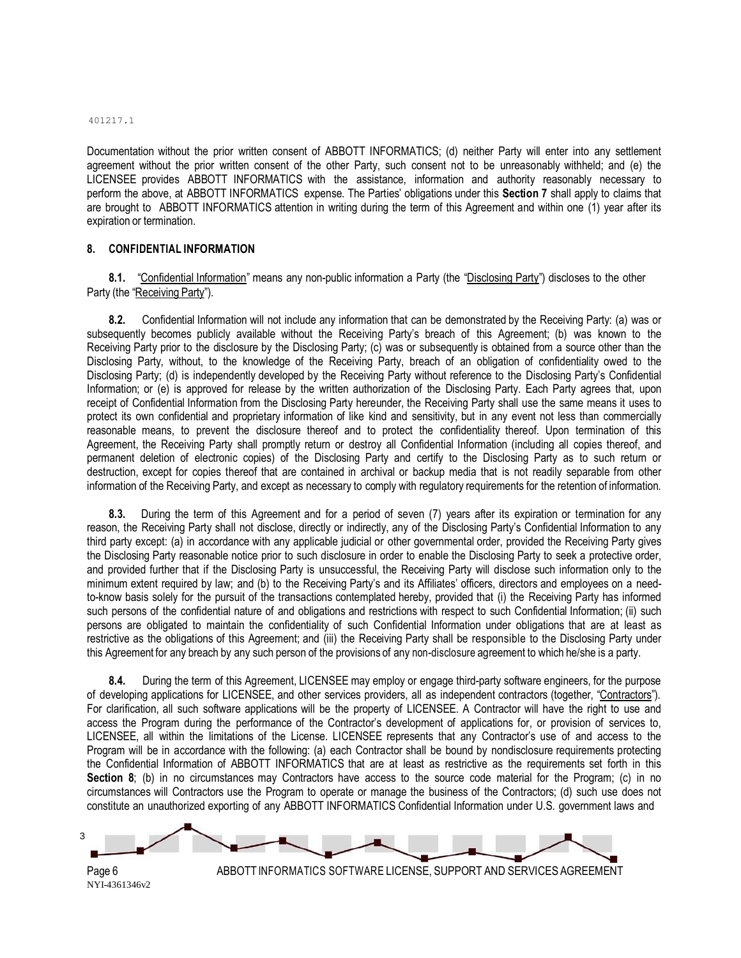#### 401217.1

Documentation without the prior written consent of ABBOTT INFORMATICS; (d) neither Party will enter into any settlement agreement without the prior written consent of the other Party, such consent not to be unreasonably withheld; and (e) the LICENSEE provides ABBOTT INFORMATICS with the assistance, information and authority reasonably necessary to perform the above, at ABBOTT INFORMATICS expense. The Parties' obligations under this **Section 7** shall apply to claims that are brought to ABBOTT INFORMATICS attention in writing during the term of this Agreement and within one (1) year after its expiration or termination.

#### **8. CONFIDENTIAL INFORMATION**

**8.1.** "Confidential Information" means any non-public information a Party (the "Disclosing Party") discloses to the other Party (the "Receiving Party").

**8.2.** Confidential Information will not include any information that can be demonstrated by the Receiving Party: (a) was or subsequently becomes publicly available without the Receiving Party's breach of this Agreement; (b) was known to the Receiving Party prior to the disclosure by the Disclosing Party; (c) was or subsequently is obtained from a source other than the Disclosing Party, without, to the knowledge of the Receiving Party, breach of an obligation of confidentiality owed to the Disclosing Party; (d) is independently developed by the Receiving Party without reference to the Disclosing Party's Confidential Information; or (e) is approved for release by the written authorization of the Disclosing Party. Each Party agrees that, upon receipt of Confidential Information from the Disclosing Party hereunder, the Receiving Party shall use the same means it uses to protect its own confidential and proprietary information of like kind and sensitivity, but in any event not less than commercially reasonable means, to prevent the disclosure thereof and to protect the confidentiality thereof. Upon termination of this Agreement, the Receiving Party shall promptly return or destroy all Confidential Information (including all copies thereof, and permanent deletion of electronic copies) of the Disclosing Party and certify to the Disclosing Party as to such return or destruction, except for copies thereof that are contained in archival or backup media that is not readily separable from other information of the Receiving Party, and except as necessary to comply with regulatory requirements for the retention of information.

**8.3.** During the term of this Agreement and for a period of seven (7) years after its expiration or termination for any reason, the Receiving Party shall not disclose, directly or indirectly, any of the Disclosing Party's Confidential Information to any third party except: (a) in accordance with any applicable judicial or other governmental order, provided the Receiving Party gives the Disclosing Party reasonable notice prior to such disclosure in order to enable the Disclosing Party to seek a protective order, and provided further that if the Disclosing Party is unsuccessful, the Receiving Party will disclose such information only to the minimum extent required by law; and (b) to the Receiving Party's and its Affiliates' officers, directors and employees on a needto-know basis solely for the pursuit of the transactions contemplated hereby, provided that (i) the Receiving Party has informed such persons of the confidential nature of and obligations and restrictions with respect to such Confidential Information; (ii) such persons are obligated to maintain the confidentiality of such Confidential Information under obligations that are at least as restrictive as the obligations of this Agreement; and (iii) the Receiving Party shall be responsible to the Disclosing Party under this Agreement for any breach by any such person of the provisions of any non-disclosure agreement to which he/she is a party.

**8.4.** During the term of this Agreement, LICENSEE may employ or engage third-party software engineers, for the purpose of developing applications for LICENSEE, and other services providers, all as independent contractors (together, "Contractors"). For clarification, all such software applications will be the property of LICENSEE. A Contractor will have the right to use and access the Program during the performance of the Contractor's development of applications for, or provision of services to, LICENSEE, all within the limitations of the License. LICENSEE represents that any Contractor's use of and access to the Program will be in accordance with the following: (a) each Contractor shall be bound by nondisclosure requirements protecting the Confidential Information of ABBOTT INFORMATICS that are at least as restrictive as the requirements set forth in this **Section 8**; (b) in no circumstances may Contractors have access to the source code material for the Program; (c) in no circumstances will Contractors use the Program to operate or manage the business of the Contractors; (d) such use does not constitute an unauthorized exporting of any ABBOTT INFORMATICS Confidential Information under U.S. government laws and



Page 6 NYI-4361346v2

ABBOTT INFORMATICS SOFTWARE LICENSE, SUPPORT AND SERVICES AGREEMENT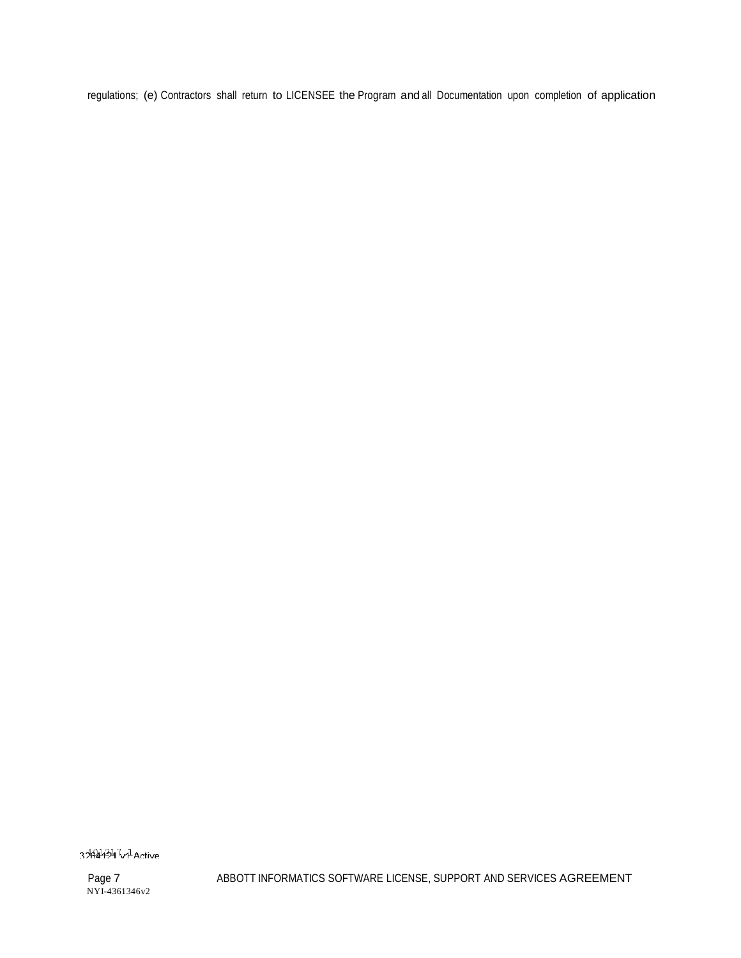regulations; (e) Contractors shall return to LICENSEE the Program and all Documentation upon completion of application

3%44347v<sup>1</sup>Active

Page 7 NYI-4361346v2 ABBOTT INFORMATICS SOFTWARE LICENSE, SUPPORT AND SERVICES AGREEMENT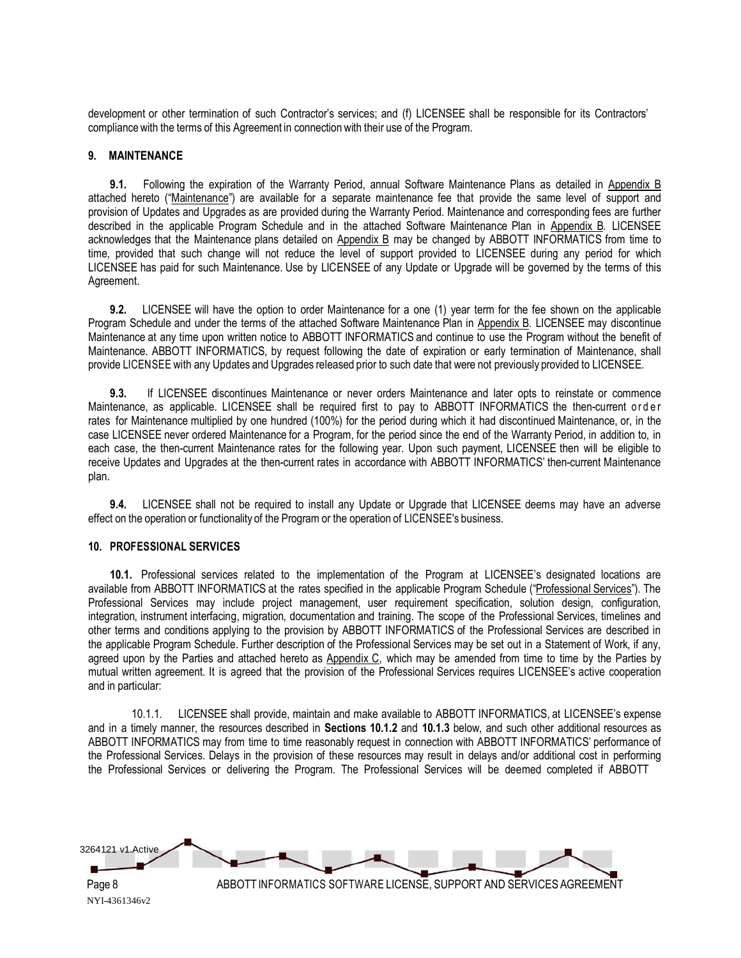development or other termination of such Contractor's services; and (f) LICENSEE shall be responsible for its Contractors' compliance with the terms of this Agreement in connection with their use of the Program.

#### **9. MAINTENANCE**

**9.1.** Following the expiration of the Warranty Period, annual Software Maintenance Plans as detailed in Appendix B attached hereto ("Maintenance") are available for a separate maintenance fee that provide the same level of support and provision of Updates and Upgrades as are provided during the Warranty Period. Maintenance and corresponding fees are further described in the applicable Program Schedule and in the attached Software Maintenance Plan in Appendix B. LICENSEE acknowledges that the Maintenance plans detailed on Appendix B may be changed by ABBOTT INFORMATICS from time to time, provided that such change will not reduce the level of support provided to LICENSEE during any period for which LICENSEE has paid for such Maintenance. Use by LICENSEE of any Update or Upgrade will be governed by the terms of this Agreement.

**9.2.** LICENSEE will have the option to order Maintenance for a one (1) year term for the fee shown on the applicable Program Schedule and under the terms of the attached Software Maintenance Plan in Appendix B. LICENSEE may discontinue Maintenance at any time upon written notice to ABBOTT INFORMATICS and continue to use the Program without the benefit of Maintenance. ABBOTT INFORMATICS, by request following the date of expiration or early termination of Maintenance, shall provide LICENSEE with any Updates and Upgrades released prior to such date that were not previously provided to LICENSEE.

**9.3.** If LICENSEE discontinues Maintenance or never orders Maintenance and later opts to reinstate or commence Maintenance, as applicable. LICENSEE shall be required first to pay to ABBOTT INFORMATICS the then-current order rates for Maintenance multiplied by one hundred (100%) for the period during which it had discontinued Maintenance, or, in the case LICENSEE never ordered Maintenance for a Program, for the period since the end of the Warranty Period, in addition to, in each case, the then-current Maintenance rates for the following year. Upon such payment, LICENSEE then will be eligible to receive Updates and Upgrades at the then-current rates in accordance with ABBOTT INFORMATICS' then-current Maintenance plan.

**9.4.** LICENSEE shall not be required to install any Update or Upgrade that LICENSEE deems may have an adverse effect on the operation or functionality of the Program or the operation of LICENSEE's business.

#### **10. PROFESSIONAL SERVICES**

**10.1.** Professional services related to the implementation of the Program at LICENSEE's designated locations are available from ABBOTT INFORMATICS at the rates specified in the applicable Program Schedule ("Professional Services"). The Professional Services may include project management, user requirement specification, solution design, configuration, integration, instrument interfacing, migration, documentation and training. The scope of the Professional Services, timelines and other terms and conditions applying to the provision by ABBOTT INFORMATICS of the Professional Services are described in the applicable Program Schedule. Further description of the Professional Services may be set out in a Statement of Work, if any, agreed upon by the Parties and attached hereto as Appendix C, which may be amended from time to time by the Parties by mutual written agreement. It is agreed that the provision of the Professional Services requires LICENSEE's active cooperation and in particular:

10.1.1. LICENSEE shall provide, maintain and make available to ABBOTT INFORMATICS, at LICENSEE's expense and in a timely manner, the resources described in **Sections 10.1.2** and **10.1.3** below, and such other additional resources as ABBOTT INFORMATICS may from time to time reasonably request in connection with ABBOTT INFORMATICS' performance of the Professional Services. Delays in the provision of these resources may result in delays and/or additional cost in performing the Professional Services or delivering the Program. The Professional Services will be deemed completed if ABBOTT

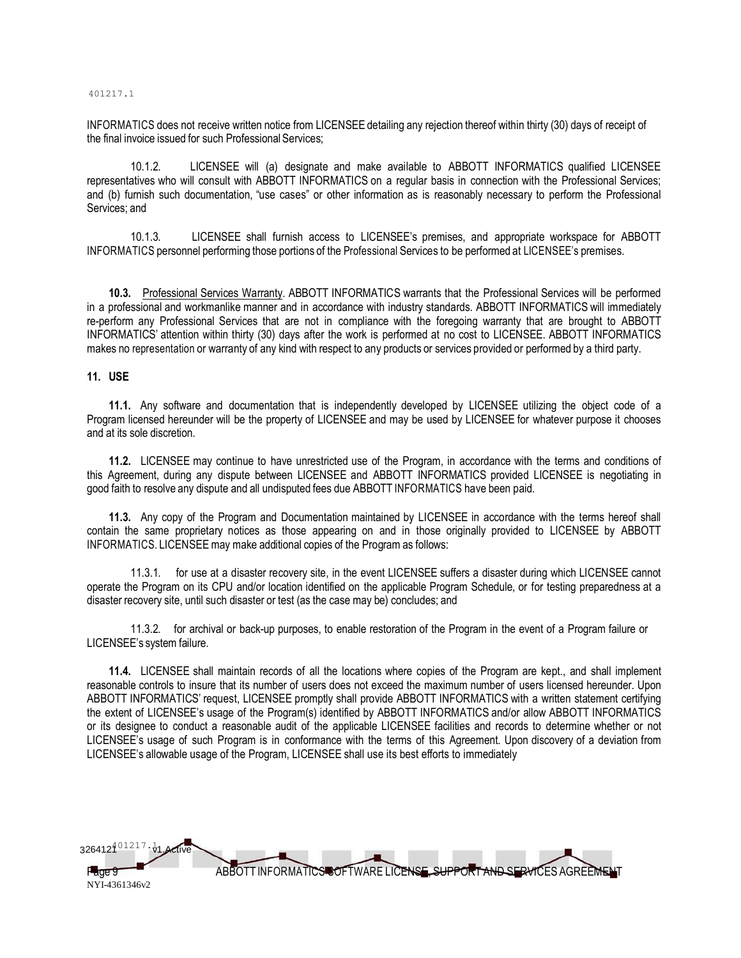#### 401217.1

INFORMATICS does not receive written notice from LICENSEE detailing any rejection thereof within thirty (30) days of receipt of the final invoice issued for such Professional Services;

10.1.2. LICENSEE will (a) designate and make available to ABBOTT INFORMATICS qualified LICENSEE representatives who will consult with ABBOTT INFORMATICS on a regular basis in connection with the Professional Services; and (b) furnish such documentation, "use cases" or other information as is reasonably necessary to perform the Professional Services; and

10.1.3. LICENSEE shall furnish access to LICENSEE's premises, and appropriate workspace for ABBOTT INFORMATICS personnel performing those portions of the Professional Services to be performed at LICENSEE's premises.

**10.3.** Professional Services Warranty. ABBOTT INFORMATICS warrants that the Professional Services will be performed in a professional and workmanlike manner and in accordance with industry standards. ABBOTT INFORMATICS will immediately re-perform any Professional Services that are not in compliance with the foregoing warranty that are brought to ABBOTT INFORMATICS' attention within thirty (30) days after the work is performed at no cost to LICENSEE. ABBOTT INFORMATICS makes no representation or warranty of any kind with respect to any products or services provided or performed by a third party.

#### **11. USE**

**11.1.** Any software and documentation that is independently developed by LICENSEE utilizing the object code of a Program licensed hereunder will be the property of LICENSEE and may be used by LICENSEE for whatever purpose it chooses and at its sole discretion.

**11.2.** LICENSEE may continue to have unrestricted use of the Program, in accordance with the terms and conditions of this Agreement, during any dispute between LICENSEE and ABBOTT INFORMATICS provided LICENSEE is negotiating in good faith to resolve any dispute and all undisputed fees due ABBOTT INFORMATICS have been paid.

**11.3.** Any copy of the Program and Documentation maintained by LICENSEE in accordance with the terms hereof shall contain the same proprietary notices as those appearing on and in those originally provided to LICENSEE by ABBOTT INFORMATICS. LICENSEE may make additional copies of the Program as follows:

11.3.1. for use at a disaster recovery site, in the event LICENSEE suffers a disaster during which LICENSEE cannot operate the Program on its CPU and/or location identified on the applicable Program Schedule, or for testing preparedness at a disaster recovery site, until such disaster or test (as the case may be) concludes; and

11.3.2. for archival or back-up purposes, to enable restoration of the Program in the event of a Program failure or LICENSEE's system failure.

**11.4.** LICENSEE shall maintain records of all the locations where copies of the Program are kept., and shall implement reasonable controls to insure that its number of users does not exceed the maximum number of users licensed hereunder. Upon ABBOTT INFORMATICS' request, LICENSEE promptly shall provide ABBOTT INFORMATICS with a written statement certifying the extent of LICENSEE's usage of the Program(s) identified by ABBOTT INFORMATICS and/or allow ABBOTT INFORMATICS or its designee to conduct a reasonable audit of the applicable LICENSEE facilities and records to determine whether or not LICENSEE's usage of such Program is in conformance with the terms of this Agreement. Upon discovery of a deviation from LICENSEE's allowable usage of the Program, LICENSEE shall use its best efforts to immediately

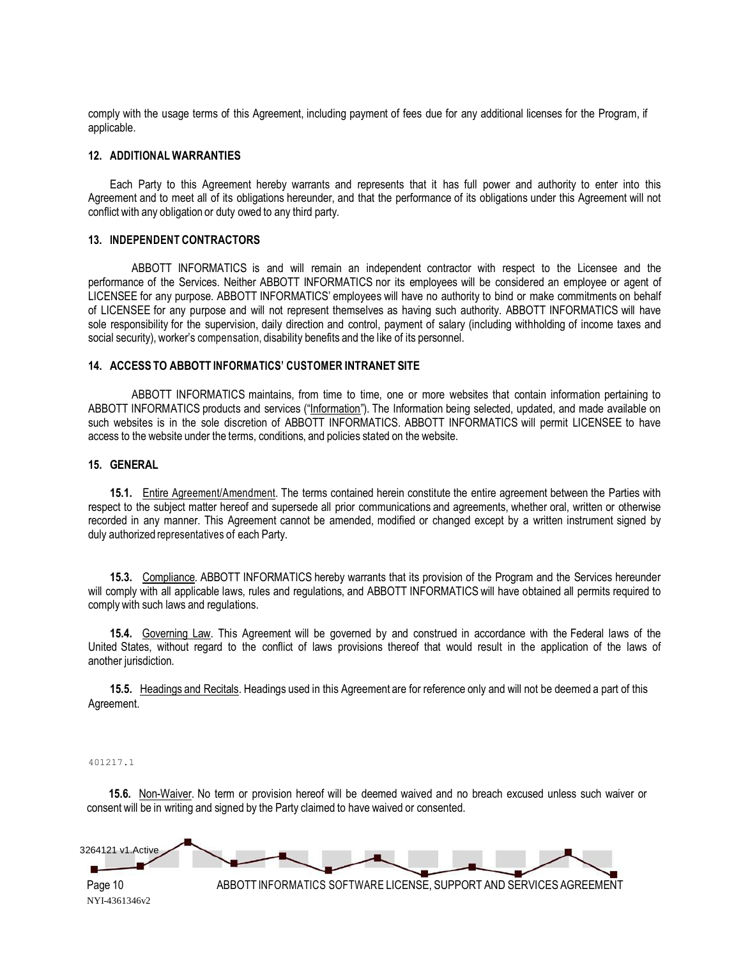comply with the usage terms of this Agreement, including payment of fees due for any additional licenses for the Program, if applicable.

#### **12. ADDITIONAL WARRANTIES**

Each Party to this Agreement hereby warrants and represents that it has full power and authority to enter into this Agreement and to meet all of its obligations hereunder, and that the performance of its obligations under this Agreement will not conflict with any obligation or duty owed to any third party.

#### **13. INDEPENDENT CONTRACTORS**

ABBOTT INFORMATICS is and will remain an independent contractor with respect to the Licensee and the performance of the Services. Neither ABBOTT INFORMATICS nor its employees will be considered an employee or agent of LICENSEE for any purpose. ABBOTT INFORMATICS' employees will have no authority to bind or make commitments on behalf of LICENSEE for any purpose and will not represent themselves as having such authority. ABBOTT INFORMATICS will have sole responsibility for the supervision, daily direction and control, payment of salary (including withholding of income taxes and social security), worker's compensation, disability benefits and the like of its personnel.

#### **14. ACCESS TO ABBOTT INFORMATICS' CUSTOMER INTRANET SITE**

ABBOTT INFORMATICS maintains, from time to time, one or more websites that contain information pertaining to ABBOTT INFORMATICS products and services ("Information"). The Information being selected, updated, and made available on such websites is in the sole discretion of ABBOTT INFORMATICS. ABBOTT INFORMATICS will permit LICENSEE to have access to the website under the terms, conditions, and policies stated on the website.

#### **15. GENERAL**

**15.1.** Entire Agreement/Amendment. The terms contained herein constitute the entire agreement between the Parties with respect to the subject matter hereof and supersede all prior communications and agreements, whether oral, written or otherwise recorded in any manner. This Agreement cannot be amended, modified or changed except by a written instrument signed by duly authorized representatives of each Party.

**15.3.** Compliance. ABBOTT INFORMATICS hereby warrants that its provision of the Program and the Services hereunder will comply with all applicable laws, rules and regulations, and ABBOTT INFORMATICS will have obtained all permits required to comply with such laws and regulations.

**15.4.** Governing Law. This Agreement will be governed by and construed in accordance with the Federal laws of the United States, without regard to the conflict of laws provisions thereof that would result in the application of the laws of another jurisdiction.

**15.5.** Headings and Recitals. Headings used in this Agreement are for reference only and will not be deemed a part of this Agreement.

#### 401217.1

**15.6.** Non-Waiver. No term or provision hereof will be deemed waived and no breach excused unless such waiver or consent will be in writing and signed by the Party claimed to have waived or consented.



NYI-4361346v2

Page 10 ABBOTT INFORMATICS SOFTWARE LICENSE, SUPPORT AND SERVICES AGREEMENT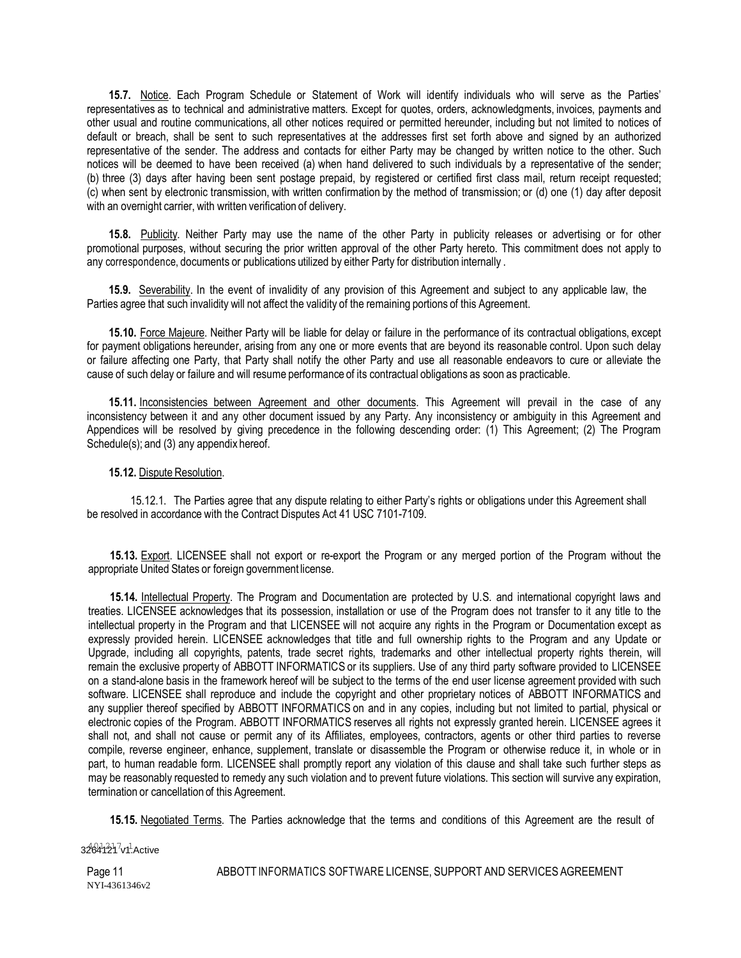**15.7.** Notice. Each Program Schedule or Statement of Work will identify individuals who will serve as the Parties' representatives as to technical and administrative matters. Except for quotes, orders, acknowledgments, invoices, payments and other usual and routine communications, all other notices required or permitted hereunder, including but not limited to notices of default or breach, shall be sent to such representatives at the addresses first set forth above and signed by an authorized representative of the sender. The address and contacts for either Party may be changed by written notice to the other. Such notices will be deemed to have been received (a) when hand delivered to such individuals by a representative of the sender; (b) three (3) days after having been sent postage prepaid, by registered or certified first class mail, return receipt requested; (c) when sent by electronic transmission, with written confirmation by the method of transmission; or (d) one (1) day after deposit with an overnight carrier, with written verification of delivery.

**15.8.** Publicity. Neither Party may use the name of the other Party in publicity releases or advertising or for other promotional purposes, without securing the prior written approval of the other Party hereto. This commitment does not apply to any correspondence, documents or publications utilized by either Party for distribution internally .

**15.9.** Severability. In the event of invalidity of any provision of this Agreement and subject to any applicable law, the Parties agree that such invalidity will not affect the validity of the remaining portions of this Agreement.

**15.10.** Force Majeure. Neither Party will be liable for delay or failure in the performance of its contractual obligations, except for payment obligations hereunder, arising from any one or more events that are beyond its reasonable control. Upon such delay or failure affecting one Party, that Party shall notify the other Party and use all reasonable endeavors to cure or alleviate the cause of such delay or failure and will resume performance of its contractual obligations as soon as practicable.

**15.11.** Inconsistencies between Agreement and other documents. This Agreement will prevail in the case of any inconsistency between it and any other document issued by any Party. Any inconsistency or ambiguity in this Agreement and Appendices will be resolved by giving precedence in the following descending order: (1) This Agreement; (2) The Program Schedule(s); and (3) any appendix hereof.

#### **15.12.** Dispute Resolution.

15.12.1. The Parties agree that any dispute relating to either Party's rights or obligations under this Agreement shall be resolved in accordance with the Contract Disputes Act 41 USC 7101-7109.

**15.13.** Export. LICENSEE shall not export or re-export the Program or any merged portion of the Program without the appropriate United States or foreign government license.

**15.14.** Intellectual Property. The Program and Documentation are protected by U.S. and international copyright laws and treaties. LICENSEE acknowledges that its possession, installation or use of the Program does not transfer to it any title to the intellectual property in the Program and that LICENSEE will not acquire any rights in the Program or Documentation except as expressly provided herein. LICENSEE acknowledges that title and full ownership rights to the Program and any Update or Upgrade, including all copyrights, patents, trade secret rights, trademarks and other intellectual property rights therein, will remain the exclusive property of ABBOTT INFORMATICS or its suppliers. Use of any third party software provided to LICENSEE on a stand-alone basis in the framework hereof will be subject to the terms of the end user license agreement provided with such software. LICENSEE shall reproduce and include the copyright and other proprietary notices of ABBOTT INFORMATICS and any supplier thereof specified by ABBOTT INFORMATICS on and in any copies, including but not limited to partial, physical or electronic copies of the Program. ABBOTT INFORMATICS reserves all rights not expressly granted herein. LICENSEE agrees it shall not, and shall not cause or permit any of its Affiliates, employees, contractors, agents or other third parties to reverse compile, reverse engineer, enhance, supplement, translate or disassemble the Program or otherwise reduce it, in whole or in part, to human readable form. LICENSEE shall promptly report any violation of this clause and shall take such further steps as may be reasonably requested to remedy any such violation and to prevent future violations. This section will survive any expiration, termination or cancellation of this Agreement.

**15.15.** Negotiated Terms. The Parties acknowledge that the terms and conditions of this Agreement are the result of

3264121<sup>7</sup>v1<sup>1</sup>.Active

ABBOTT INFORMATICS SOFTWARE LICENSE, SUPPORT AND SERVICES AGREEMENT

Page 11 NYI-4361346v2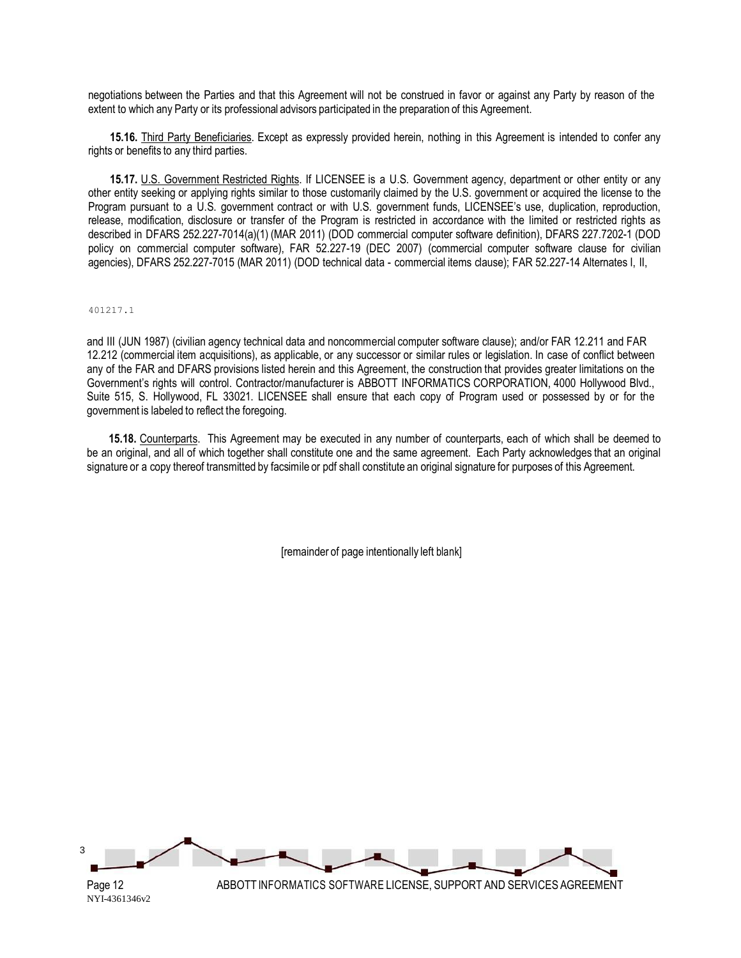negotiations between the Parties and that this Agreement will not be construed in favor or against any Party by reason of the extent to which any Party or its professional advisors participated in the preparation of this Agreement.

**15.16.** Third Party Beneficiaries. Except as expressly provided herein, nothing in this Agreement is intended to confer any rights or benefits to any third parties.

**15.17.** U.S. Government Restricted Rights. If LICENSEE is a U.S. Government agency, department or other entity or any other entity seeking or applying rights similar to those customarily claimed by the U.S. government or acquired the license to the Program pursuant to a U.S. government contract or with U.S. government funds, LICENSEE's use, duplication, reproduction, release, modification, disclosure or transfer of the Program is restricted in accordance with the limited or restricted rights as described in DFARS 252.227-7014(a)(1) (MAR 2011) (DOD commercial computer software definition), DFARS 227.7202-1 (DOD policy on commercial computer software), FAR 52.227-19 (DEC 2007) (commercial computer software clause for civilian agencies), DFARS 252.227-7015 (MAR 2011) (DOD technical data - commercial items clause); FAR 52.227-14 Alternates I, II,

#### 401217.1

and III (JUN 1987) (civilian agency technical data and noncommercial computer software clause); and/or FAR 12.211 and FAR 12.212 (commercial item acquisitions), as applicable, or any successor or similar rules or legislation. In case of conflict between any of the FAR and DFARS provisions listed herein and this Agreement, the construction that provides greater limitations on the Government's rights will control. Contractor/manufacturer is ABBOTT INFORMATICS CORPORATION, 4000 Hollywood Blvd., Suite 515, S. Hollywood, FL 33021. LICENSEE shall ensure that each copy of Program used or possessed by or for the government is labeled to reflect the foregoing.

**15.18.** Counterparts. This Agreement may be executed in any number of counterparts, each of which shall be deemed to be an original, and all of which together shall constitute one and the same agreement. Each Party acknowledges that an original signature or a copy thereof transmitted by facsimile or pdf shall constitute an original signature for purposes of this Agreement.

[remainder of page intentionally left blank]

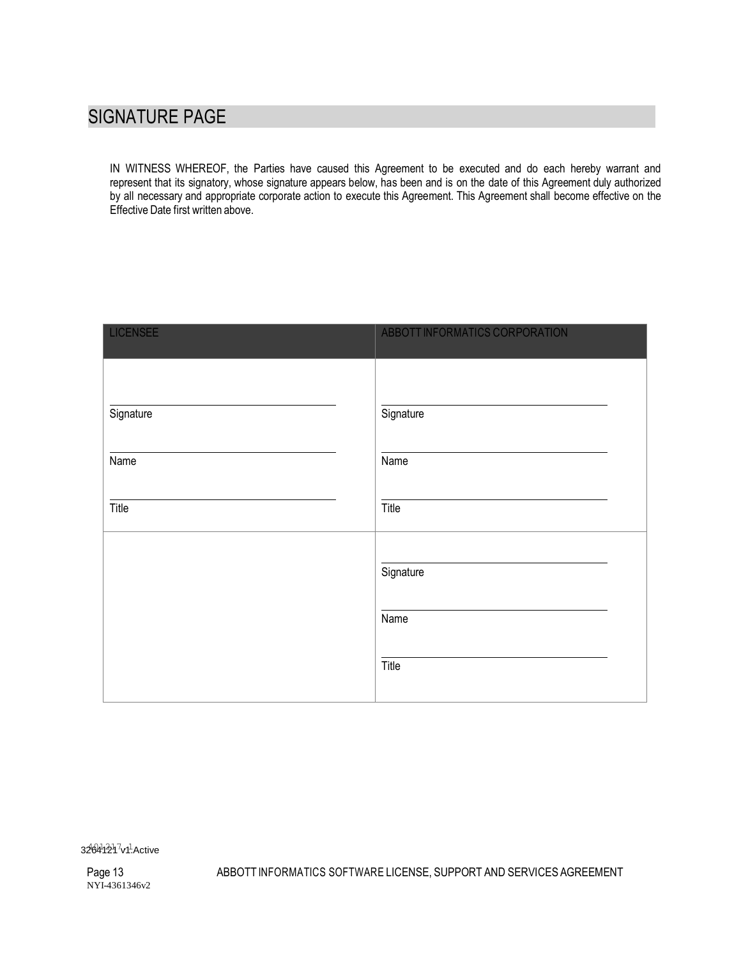# SIGNATURE PAGE

IN WITNESS WHEREOF, the Parties have caused this Agreement to be executed and do each hereby warrant and represent that its signatory, whose signature appears below, has been and is on the date of this Agreement duly authorized by all necessary and appropriate corporate action to execute this Agreement. This Agreement shall become effective on the Effective Date first written above.

| <b>LICENSEE</b> | ABBOTT INFORMATICS CORPORATION |
|-----------------|--------------------------------|
|                 |                                |
| Signature       | Signature                      |
| Name            | Name                           |
| Title           | Title                          |
|                 | Signature                      |
|                 | Name                           |
|                 | Title                          |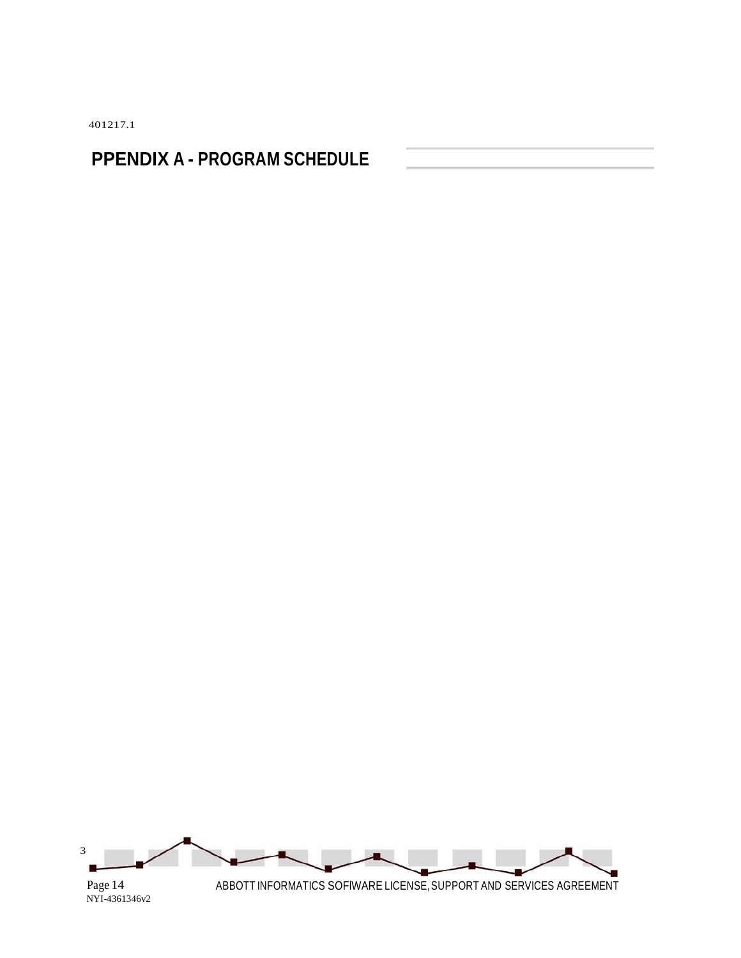401217.1

# **PPENDIX A - PROGRAM SCHEDULE**

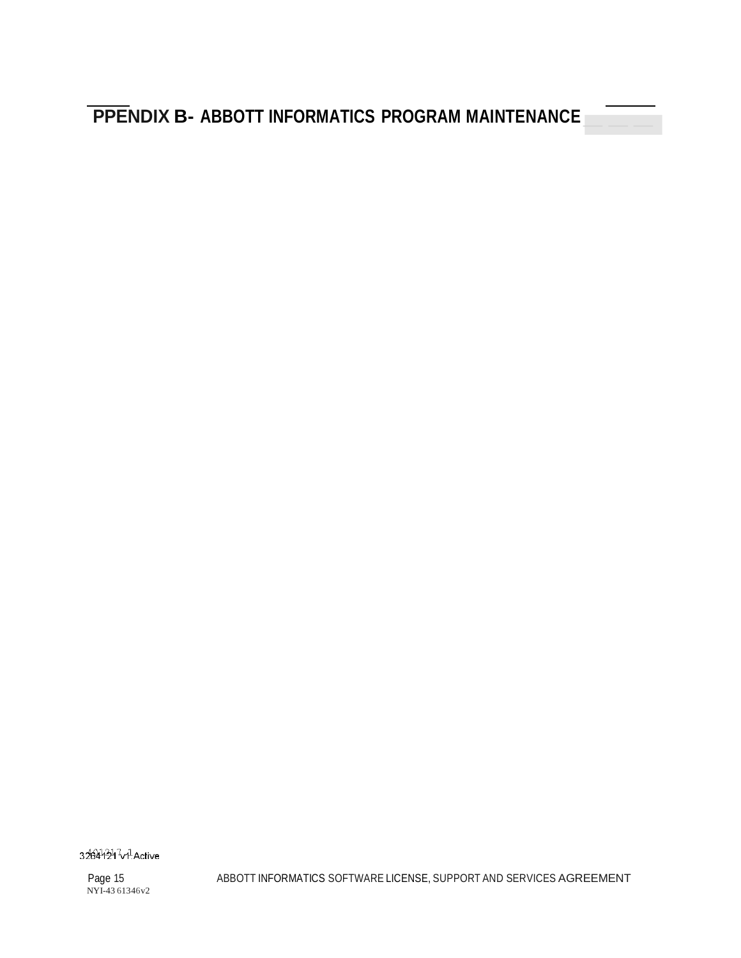**PPENDIX B- ABBOTT INFORMATICS PROGRAM MAINTENANCE** 

32644247v<sup>1</sup>Active

Page 15 NYI-43 61346v2 ABBOTT INFORMATICS SOFTWARE LICENSE, SUPPORT AND SERVICES AGREEMENT